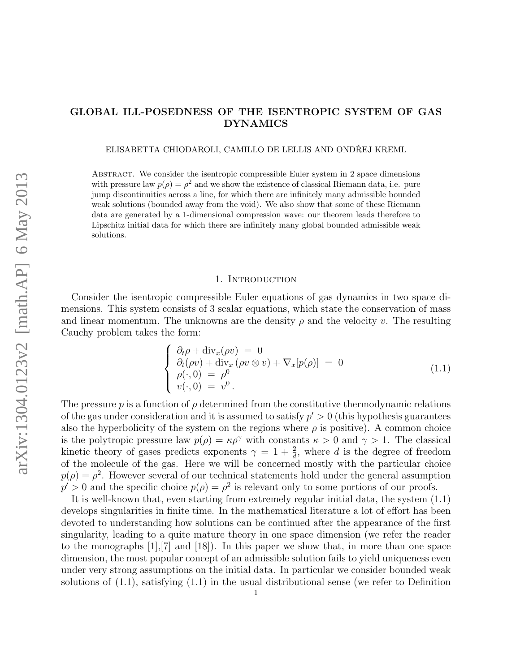# GLOBAL ILL-POSEDNESS OF THE ISENTROPIC SYSTEM OF GAS DYNAMICS

ELISABETTA CHIODAROLI, CAMILLO DE LELLIS AND ONDŘEJ KREML

Abstract. We consider the isentropic compressible Euler system in 2 space dimensions with pressure law  $p(\rho) = \rho^2$  and we show the existence of classical Riemann data, i.e. pure jump discontinuities across a line, for which there are infinitely many admissible bounded weak solutions (bounded away from the void). We also show that some of these Riemann data are generated by a 1-dimensional compression wave: our theorem leads therefore to Lipschitz initial data for which there are infinitely many global bounded admissible weak solutions.

## 1. INTRODUCTION

Consider the isentropic compressible Euler equations of gas dynamics in two space dimensions. This system consists of 3 scalar equations, which state the conservation of mass and linear momentum. The unknowns are the density  $\rho$  and the velocity v. The resulting Cauchy problem takes the form:

$$
\begin{cases}\n\partial_t \rho + \operatorname{div}_x(\rho v) = 0 \\
\partial_t(\rho v) + \operatorname{div}_x(\rho v \otimes v) + \nabla_x[p(\rho)] = 0 \\
\rho(\cdot, 0) = \rho^0 \\
v(\cdot, 0) = v^0.\n\end{cases}
$$
\n(1.1)

The pressure  $p$  is a function of  $\rho$  determined from the constitutive thermodynamic relations of the gas under consideration and it is assumed to satisfy  $p' > 0$  (this hypothesis guarantees also the hyperbolicity of the system on the regions where  $\rho$  is positive). A common choice is the polytropic pressure law  $p(\rho) = \kappa \rho^{\gamma}$  with constants  $\kappa > 0$  and  $\gamma > 1$ . The classical kinetic theory of gases predicts exponents  $\gamma = 1 + \frac{2}{d}$ , where d is the degree of freedom of the molecule of the gas. Here we will be concerned mostly with the particular choice  $p(\rho) = \rho^2$ . However several of our technical statements hold under the general assumption  $p' > 0$  and the specific choice  $p(\rho) = \rho^2$  is relevant only to some portions of our proofs.

It is well-known that, even starting from extremely regular initial data, the system (1.1) develops singularities in finite time. In the mathematical literature a lot of effort has been devoted to understanding how solutions can be continued after the appearance of the first singularity, leading to a quite mature theory in one space dimension (we refer the reader to the monographs  $[1], [7]$  and  $[18]$ . In this paper we show that, in more than one space dimension, the most popular concept of an admissible solution fails to yield uniqueness even under very strong assumptions on the initial data. In particular we consider bounded weak solutions of (1.1), satisfying (1.1) in the usual distributional sense (we refer to Definition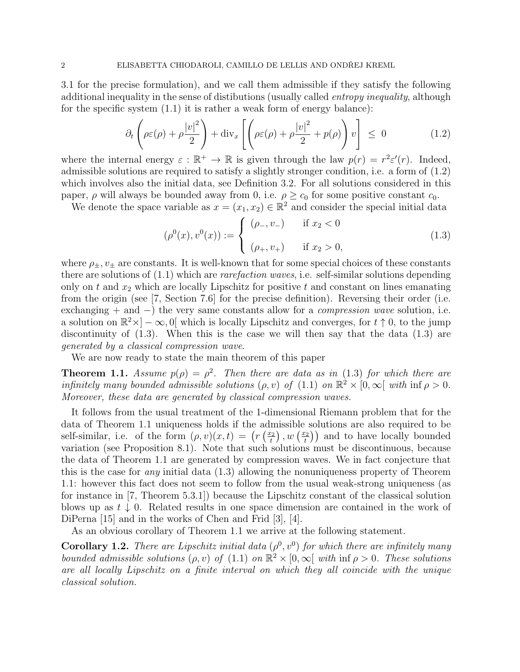3.1 for the precise formulation), and we call them admissible if they satisfy the following additional inequality in the sense of distibutions (usually called *entropy inequality*, although for the specific system  $(1.1)$  it is rather a weak form of energy balance):

$$
\partial_t \left( \rho \varepsilon(\rho) + \rho \frac{|v|^2}{2} \right) + \text{div}_x \left[ \left( \rho \varepsilon(\rho) + \rho \frac{|v|^2}{2} + p(\rho) \right) v \right] \le 0 \tag{1.2}
$$

where the internal energy  $\varepsilon : \mathbb{R}^+ \to \mathbb{R}$  is given through the law  $p(r) = r^2 \varepsilon'(r)$ . Indeed, admissible solutions are required to satisfy a slightly stronger condition, i.e. a form of (1.2) which involves also the initial data, see Definition 3.2. For all solutions considered in this paper,  $\rho$  will always be bounded away from 0, i.e.  $\rho \geq c_0$  for some positive constant  $c_0$ .

We denote the space variable as  $x = (x_1, x_2) \in \mathbb{R}^2$  and consider the special initial data

$$
(\rho^{0}(x), v^{0}(x)) := \begin{cases} (\rho_{-}, v_{-}) & \text{if } x_{2} < 0 \\ (\rho_{+}, v_{+}) & \text{if } x_{2} > 0, \end{cases}
$$
 (1.3)

where  $\rho_{\pm}$ ,  $v_{\pm}$  are constants. It is well-known that for some special choices of these constants there are solutions of  $(1.1)$  which are *rarefaction waves*, i.e. self-similar solutions depending only on t and  $x_2$  which are locally Lipschitz for positive t and constant on lines emanating from the origin (see [7, Section 7.6] for the precise definition). Reversing their order (i.e. exchanging + and  $-$ ) the very same constants allow for a *compression wave* solution, i.e. a solution on  $\mathbb{R}^2 \times ]-\infty, 0[$  which is locally Lipschitz and converges, for  $t \uparrow 0$ , to the jump discontinuity of  $(1.3)$ . When this is the case we will then say that the data  $(1.3)$  are generated by a classical compression wave.

We are now ready to state the main theorem of this paper

**Theorem 1.1.** Assume  $p(\rho) = \rho^2$ . Then there are data as in (1.3) for which there are infinitely many bounded admissible solutions  $(\rho, v)$  of  $(1.1)$  on  $\mathbb{R}^2 \times [0, \infty)$  with  $\inf \rho > 0$ . Moreover, these data are generated by classical compression waves.

It follows from the usual treatment of the 1-dimensional Riemann problem that for the data of Theorem 1.1 uniqueness holds if the admissible solutions are also required to be self-similar, i.e. of the form  $(\rho, v)(x, t) = (r(\frac{x_2}{t}))$  $\left(\frac{x_2}{t}\right), w\left(\frac{x_2}{t}\right)$  $\left(\frac{t^2}{t}\right)$  and to have locally bounded variation (see Proposition 8.1). Note that such solutions must be discontinuous, because the data of Theorem 1.1 are generated by compression waves. We in fact conjecture that this is the case for *any* initial data  $(1.3)$  allowing the nonuniqueness property of Theorem 1.1: however this fact does not seem to follow from the usual weak-strong uniqueness (as for instance in [7, Theorem 5.3.1]) because the Lipschitz constant of the classical solution blows up as  $t \downarrow 0$ . Related results in one space dimension are contained in the work of DiPerna [15] and in the works of Chen and Frid [3], [4].

As an obvious corollary of Theorem 1.1 we arrive at the following statement.

**Corollary 1.2.** There are Lipschitz initial data  $(\rho^0, v^0)$  for which there are infinitely many bounded admissible solutions  $(\rho, v)$  of  $(1.1)$  on  $\mathbb{R}^2 \times [0, \infty)$  with  $\inf \rho > 0$ . These solutions are all locally Lipschitz on a finite interval on which they all coincide with the unique classical solution.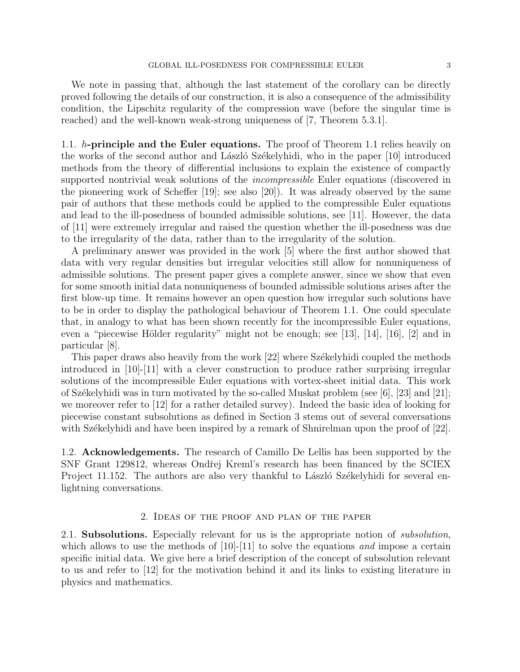We note in passing that, although the last statement of the corollary can be directly proved following the details of our construction, it is also a consequence of the admissibility condition, the Lipschitz regularity of the compression wave (before the singular time is reached) and the well-known weak-strong uniqueness of [7, Theorem 5.3.1].

1.1.  $h$ -principle and the Euler equations. The proof of Theorem 1.1 relies heavily on the works of the second author and László Székelyhidi, who in the paper  $[10]$  introduced methods from the theory of differential inclusions to explain the existence of compactly supported nontrivial weak solutions of the *incompressible* Euler equations (discovered in the pioneering work of Scheffer [19]; see also [20]). It was already observed by the same pair of authors that these methods could be applied to the compressible Euler equations and lead to the ill-posedness of bounded admissible solutions, see [11]. However, the data of [11] were extremely irregular and raised the question whether the ill-posedness was due to the irregularity of the data, rather than to the irregularity of the solution.

A preliminary answer was provided in the work [5] where the first author showed that data with very regular densities but irregular velocities still allow for nonuniqueness of admissible solutions. The present paper gives a complete answer, since we show that even for some smooth initial data nonuniqueness of bounded admissible solutions arises after the first blow-up time. It remains however an open question how irregular such solutions have to be in order to display the pathological behaviour of Theorem 1.1. One could speculate that, in analogy to what has been shown recently for the incompressible Euler equations, even a "piecewise Hölder regularity" might not be enough; see [13], [14], [16], [2] and in particular [8].

This paper draws also heavily from the work [22] where Székelyhidi coupled the methods introduced in [10]-[11] with a clever construction to produce rather surprising irregular solutions of the incompressible Euler equations with vortex-sheet initial data. This work of Székelyhidi was in turn motivated by the so-called Muskat problem (see  $[6]$ ,  $[23]$  and  $[21]$ ; we moreover refer to [12] for a rather detailed survey). Indeed the basic idea of looking for piecewise constant subsolutions as defined in Section 3 stems out of several conversations with Székelyhidi and have been inspired by a remark of Shnirelman upon the proof of [22].

1.2. Acknowledgements. The research of Camillo De Lellis has been supported by the SNF Grant 129812, whereas Ondřej Kreml's research has been financed by the SCIEX Project 11.152. The authors are also very thankful to László Székelyhidi for several enlightning conversations.

## 2. Ideas of the proof and plan of the paper

2.1. Subsolutions. Especially relevant for us is the appropriate notion of *subsolution*, which allows to use the methods of  $[10]-[11]$  to solve the equations and impose a certain specific initial data. We give here a brief description of the concept of subsolution relevant to us and refer to [12] for the motivation behind it and its links to existing literature in physics and mathematics.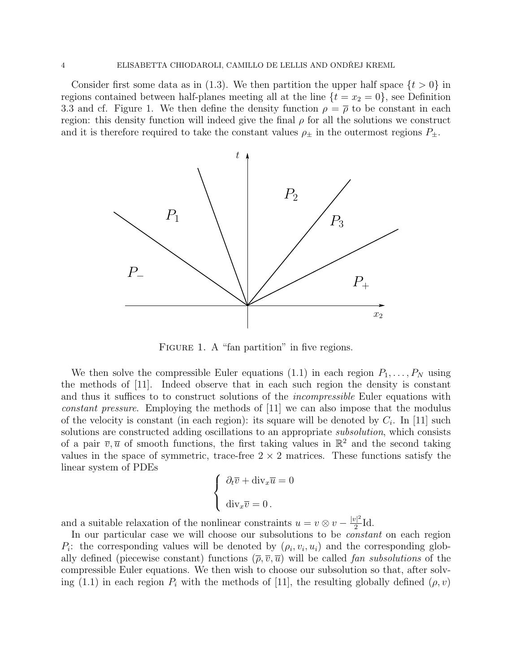Consider first some data as in (1.3). We then partition the upper half space  $\{t > 0\}$  in regions contained between half-planes meeting all at the line  $\{t = x_2 = 0\}$ , see Definition 3.3 and cf. Figure 1. We then define the density function  $\rho = \overline{\rho}$  to be constant in each region: this density function will indeed give the final  $\rho$  for all the solutions we construct and it is therefore required to take the constant values  $\rho_{\pm}$  in the outermost regions  $P_{\pm}$ .



FIGURE 1. A "fan partition" in five regions.

We then solve the compressible Euler equations (1.1) in each region  $P_1, \ldots, P_N$  using the methods of [11]. Indeed observe that in each such region the density is constant and thus it suffices to to construct solutions of the *incompressible* Euler equations with constant pressure. Employing the methods of [11] we can also impose that the modulus of the velocity is constant (in each region): its square will be denoted by  $C_i$ . In [11] such solutions are constructed adding oscillations to an appropriate *subsolution*, which consists of a pair  $\overline{v}, \overline{u}$  of smooth functions, the first taking values in  $\mathbb{R}^2$  and the second taking values in the space of symmetric, trace-free  $2 \times 2$  matrices. These functions satisfy the linear system of PDEs

$$
\begin{cases} \n\partial_t \overline{v} + \operatorname{div}_x \overline{u} = 0 \\ \n\operatorname{div}_x \overline{v} = 0 \n\end{cases}
$$

and a suitable relaxation of the nonlinear constraints  $u = v \otimes v - \frac{|v|^2}{2}$  $\frac{\sqrt{7}}{2}$ Id.

In our particular case we will choose our subsolutions to be constant on each region  $P_i$ : the corresponding values will be denoted by  $(\rho_i, v_i, u_i)$  and the corresponding globally defined (piecewise constant) functions  $(\overline{\rho}, \overline{v}, \overline{u})$  will be called fan subsolutions of the compressible Euler equations. We then wish to choose our subsolution so that, after solving (1.1) in each region  $P_i$  with the methods of [11], the resulting globally defined  $(\rho, v)$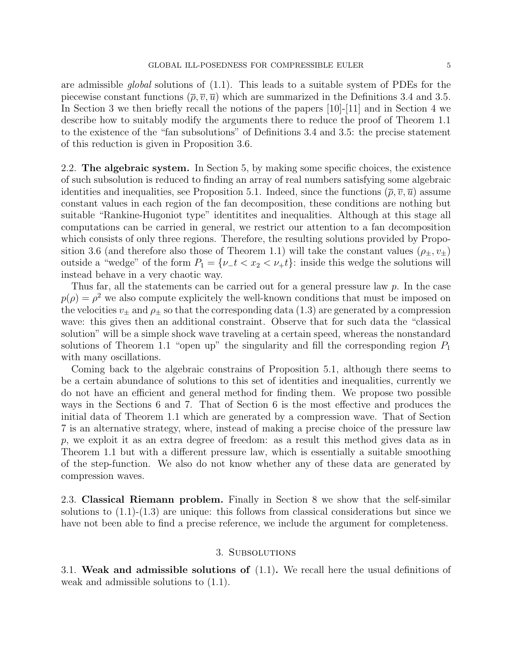are admissible global solutions of (1.1). This leads to a suitable system of PDEs for the piecewise constant functions  $(\bar{\rho}, \bar{v}, \bar{u})$  which are summarized in the Definitions 3.4 and 3.5. In Section 3 we then briefly recall the notions of the papers [10]-[11] and in Section 4 we describe how to suitably modify the arguments there to reduce the proof of Theorem 1.1 to the existence of the "fan subsolutions" of Definitions 3.4 and 3.5: the precise statement of this reduction is given in Proposition 3.6.

2.2. The algebraic system. In Section 5, by making some specific choices, the existence of such subsolution is reduced to finding an array of real numbers satisfying some algebraic identities and inequalities, see Proposition 5.1. Indeed, since the functions  $(\bar{\rho}, \bar{v}, \bar{u})$  assume constant values in each region of the fan decomposition, these conditions are nothing but suitable "Rankine-Hugoniot type" identitites and inequalities. Although at this stage all computations can be carried in general, we restrict our attention to a fan decomposition which consists of only three regions. Therefore, the resulting solutions provided by Proposition 3.6 (and therefore also those of Theorem 1.1) will take the constant values  $(\rho_{\pm}, v_{\pm})$ outside a "wedge" of the form  $P_1 = \{ \nu_t \mid t < x_2 < \nu_t \}$ : inside this wedge the solutions will instead behave in a very chaotic way.

Thus far, all the statements can be carried out for a general pressure law p. In the case  $p(\rho) = \rho^2$  we also compute explicitely the well-known conditions that must be imposed on the velocities  $v_{\pm}$  and  $\rho_{\pm}$  so that the corresponding data (1.3) are generated by a compression wave: this gives then an additional constraint. Observe that for such data the "classical solution" will be a simple shock wave traveling at a certain speed, whereas the nonstandard solutions of Theorem 1.1 "open up" the singularity and fill the corresponding region  $P_1$ with many oscillations.

Coming back to the algebraic constrains of Proposition 5.1, although there seems to be a certain abundance of solutions to this set of identities and inequalities, currently we do not have an efficient and general method for finding them. We propose two possible ways in the Sections 6 and 7. That of Section 6 is the most effective and produces the initial data of Theorem 1.1 which are generated by a compression wave. That of Section 7 is an alternative strategy, where, instead of making a precise choice of the pressure law p, we exploit it as an extra degree of freedom: as a result this method gives data as in Theorem 1.1 but with a different pressure law, which is essentially a suitable smoothing of the step-function. We also do not know whether any of these data are generated by compression waves.

2.3. Classical Riemann problem. Finally in Section 8 we show that the self-similar solutions to  $(1.1)-(1.3)$  are unique: this follows from classical considerations but since we have not been able to find a precise reference, we include the argument for completeness.

## 3. Subsolutions

3.1. Weak and admissible solutions of (1.1). We recall here the usual definitions of weak and admissible solutions to (1.1).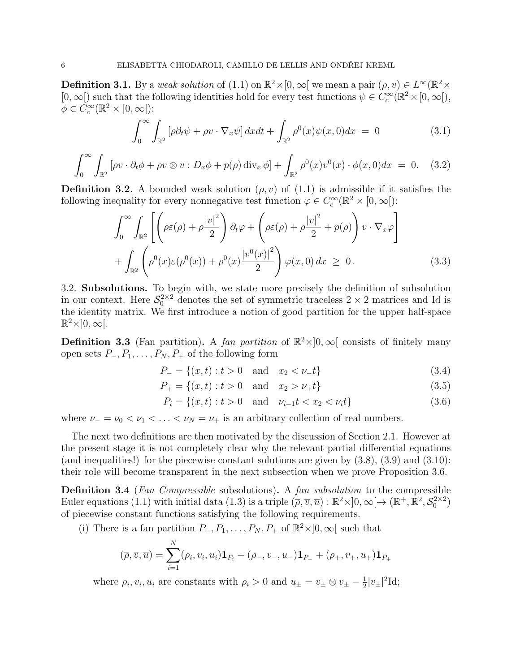**Definition 3.1.** By a weak solution of (1.1) on  $\mathbb{R}^2 \times [0, \infty)$  we mean a pair  $(\rho, v) \in L^{\infty}(\mathbb{R}^2 \times$  $[0, \infty)$  such that the following identities hold for every test functions  $\psi \in C_c^{\infty}(\mathbb{R}^2 \times [0, \infty])$ ,  $\phi \in C_c^{\infty}(\mathbb{R}^2 \times [0,\infty])$ :

$$
\int_0^\infty \int_{\mathbb{R}^2} \left[ \rho \partial_t \psi + \rho v \cdot \nabla_x \psi \right] dx dt + \int_{\mathbb{R}^2} \rho^0(x) \psi(x, 0) dx = 0 \tag{3.1}
$$

$$
\int_0^\infty \int_{\mathbb{R}^2} \left[ \rho v \cdot \partial_t \phi + \rho v \otimes v : D_x \phi + p(\rho) \operatorname{div}_x \phi \right] + \int_{\mathbb{R}^2} \rho^0(x) v^0(x) \cdot \phi(x, 0) dx = 0. \quad (3.2)
$$

**Definition 3.2.** A bounded weak solution  $(\rho, v)$  of  $(1.1)$  is admissible if it satisfies the following inequality for every nonnegative test function  $\varphi \in C_c^{\infty}(\mathbb{R}^2 \times [0, \infty])$ :

$$
\int_0^\infty \int_{\mathbb{R}^2} \left[ \left( \rho \varepsilon(\rho) + \rho \frac{|v|^2}{2} \right) \partial_t \varphi + \left( \rho \varepsilon(\rho) + \rho \frac{|v|^2}{2} + p(\rho) \right) v \cdot \nabla_x \varphi \right] + \int_{\mathbb{R}^2} \left( \rho^0(x) \varepsilon(\rho^0(x)) + \rho^0(x) \frac{|v^0(x)|^2}{2} \right) \varphi(x,0) dx \ge 0.
$$
 (3.3)

3.2. Subsolutions. To begin with, we state more precisely the definition of subsolution in our context. Here  $S_0^{2\times 2}$  denotes the set of symmetric traceless  $2 \times 2$  matrices and Id is the identity matrix. We first introduce a notion of good partition for the upper half-space  $\mathbb{R}^2\times ]0,\infty[.$ 

**Definition 3.3** (Fan partition). A fan partition of  $\mathbb{R}^2 \times ]0, \infty[$  consists of finitely many open sets  $P_-, P_1, \ldots, P_N, P_+$  of the following form

$$
P_{-} = \{(x, t) : t > 0 \quad \text{and} \quad x_2 < \nu_{-}t\} \tag{3.4}
$$

$$
P_{+} = \{(x, t) : t > 0 \quad \text{and} \quad x_2 > \nu_{+} t\}
$$
\n(3.5)

$$
P_i = \{(x, t) : t > 0 \text{ and } \nu_{i-1}t < x_2 < \nu_i t\} \tag{3.6}
$$

where  $\nu_$  =  $\nu_0$  <  $\nu_1$  < ... <  $\nu_N = \nu_+$  is an arbitrary collection of real numbers.

The next two definitions are then motivated by the discussion of Section 2.1. However at the present stage it is not completely clear why the relevant partial differential equations (and inequalities!) for the piecewise constant solutions are given by  $(3.8)$ ,  $(3.9)$  and  $(3.10)$ : their role will become transparent in the next subsection when we prove Proposition 3.6.

Definition 3.4 (Fan Compressible subsolutions). A fan subsolution to the compressible Euler equations (1.1) with initial data (1.3) is a triple  $(\overline{\rho}, \overline{v}, \overline{u}) : \mathbb{R}^2 \times ]0, \infty[ \rightarrow (\mathbb{R}^+, \mathbb{R}^2, \mathcal{S}_0^{2 \times 2})$ of piecewise constant functions satisfying the following requirements.

(i) There is a fan partition  $P_-, P_1, \ldots, P_N, P_+$  of  $\mathbb{R}^2 \times ]0, \infty[$  such that

$$
(\overline{\rho}, \overline{v}, \overline{u}) = \sum_{i=1}^{N} (\rho_i, v_i, u_i) \mathbf{1}_{P_i} + (\rho_-, v_-, u_-) \mathbf{1}_{P_-} + (\rho_+, v_+, u_+) \mathbf{1}_{P_+}
$$

where  $\rho_i, v_i, u_i$  are constants with  $\rho_i > 0$  and  $u_{\pm} = v_{\pm} \otimes v_{\pm} - \frac{1}{2}$  $\frac{1}{2}|v_{\pm}|^2$ Id;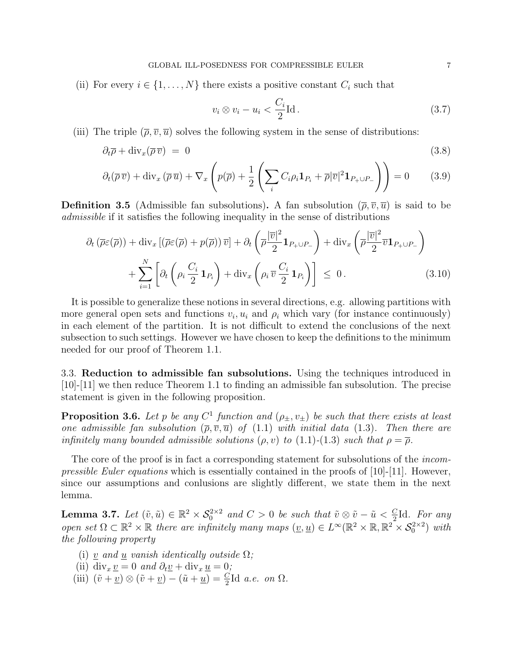(ii) For every  $i \in \{1, ..., N\}$  there exists a positive constant  $C_i$  such that

$$
v_i \otimes v_i - u_i < \frac{C_i}{2} \text{Id} \,. \tag{3.7}
$$

(iii) The triple  $(\overline{\rho}, \overline{v}, \overline{u})$  solves the following system in the sense of distributions:

$$
\partial_t \overline{\rho} + \text{div}_x(\overline{\rho}\,\overline{v}) = 0 \tag{3.8}
$$

$$
\partial_t(\overline{\rho}\,\overline{v}) + \operatorname{div}_x(\overline{\rho}\,\overline{u}) + \nabla_x\left(p(\overline{\rho}) + \frac{1}{2}\left(\sum_i C_i\rho_i\mathbf{1}_{P_i} + \overline{\rho}|\overline{v}|^2\mathbf{1}_{P_+\cup P_-}\right)\right) = 0\tag{3.9}
$$

**Definition 3.5** (Admissible fan subsolutions). A fan subsolution  $(\overline{\rho}, \overline{v}, \overline{u})$  is said to be admissible if it satisfies the following inequality in the sense of distributions

$$
\partial_t \left( \overline{\rho} \varepsilon(\overline{\rho}) \right) + \text{div}_x \left[ \left( \overline{\rho} \varepsilon(\overline{\rho}) + p(\overline{\rho}) \right) \overline{v} \right] + \partial_t \left( \overline{\rho} \frac{|\overline{v}|^2}{2} \mathbf{1}_{P_+ \cup P_-} \right) + \text{div}_x \left( \overline{\rho} \frac{|\overline{v}|^2}{2} \overline{v} \mathbf{1}_{P_+ \cup P_-} \right) + \sum_{i=1}^N \left[ \partial_t \left( \rho_i \frac{C_i}{2} \mathbf{1}_{P_i} \right) + \text{div}_x \left( \rho_i \overline{v} \frac{C_i}{2} \mathbf{1}_{P_i} \right) \right] \leq 0.
$$
 (3.10)

It is possible to generalize these notions in several directions, e.g. allowing partitions with more general open sets and functions  $v_i, u_i$  and  $\rho_i$  which vary (for instance continuously) in each element of the partition. It is not difficult to extend the conclusions of the next subsection to such settings. However we have chosen to keep the definitions to the minimum needed for our proof of Theorem 1.1.

3.3. Reduction to admissible fan subsolutions. Using the techniques introduced in [10]-[11] we then reduce Theorem 1.1 to finding an admissible fan subsolution. The precise statement is given in the following proposition.

**Proposition 3.6.** Let p be any  $C^1$  function and  $(\rho_{\pm}, v_{\pm})$  be such that there exists at least one admissible fan subsolution  $(\bar{\rho}, \bar{v}, \bar{u})$  of  $(1.1)$  with initial data  $(1.3)$ . Then there are infinitely many bounded admissible solutions  $(\rho, v)$  to  $(1.1)-(1.3)$  such that  $\rho = \overline{\rho}$ .

The core of the proof is in fact a corresponding statement for subsolutions of the *incompressible Euler equations* which is essentially contained in the proofs of  $[10]-[11]$ . However, since our assumptions and conlusions are slightly different, we state them in the next lemma.

**Lemma 3.7.** Let  $(\tilde{v}, \tilde{u}) \in \mathbb{R}^2 \times S_0^{2 \times 2}$  and  $C > 0$  be such that  $\tilde{v} \otimes \tilde{v} - \tilde{u} < \frac{C_0}{2}$  $\frac{C}{2}$ Id. For any open set  $\Omega \subset \mathbb{R}^2 \times \mathbb{R}$  there are infinitely many maps  $(\underline{v}, \underline{u}) \in L^{\infty}(\mathbb{R}^2 \times \mathbb{R}, \mathbb{R}^2 \times S_0^{2 \times 2})$  with the following property

- (i) <u>v</u> and <u>u</u> vanish identically outside  $\Omega$ ;
- (ii) div<sub>x</sub> <u>v</u> = 0 and  $\partial_t$ <u>v</u> + div<sub>x</sub> <u>u</u> = 0;
- (iii)  $(\tilde{v} + \underline{v}) \otimes (\tilde{v} + \underline{v}) (\tilde{u} + \underline{u}) = \frac{C}{2} \text{Id} \ a.e. \ on \ \Omega.$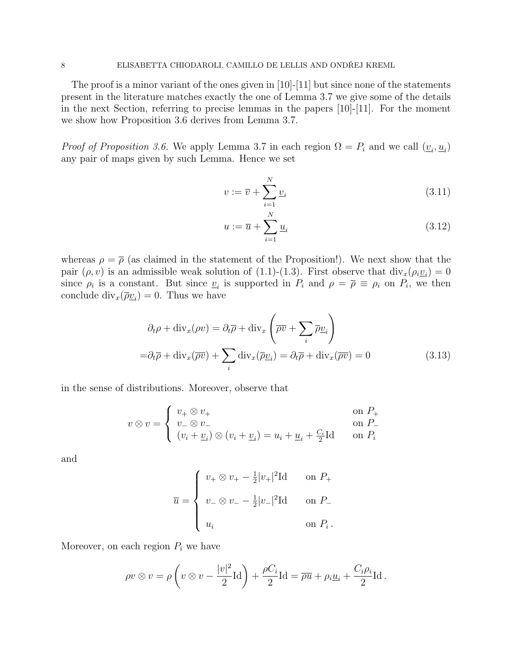The proof is a minor variant of the ones given in  $[10]-[11]$  but since none of the statements present in the literature matches exactly the one of Lemma 3.7 we give some of the details in the next Section, referring to precise lemmas in the papers [10]-[11]. For the moment we show how Proposition 3.6 derives from Lemma 3.7.

*Proof of Proposition 3.6.* We apply Lemma 3.7 in each region  $\Omega = P_i$  and we call  $(\underline{v}_i, \underline{u}_i)$ any pair of maps given by such Lemma. Hence we set

$$
v := \overline{v} + \sum_{i=1}^{N} \underline{v}_i \tag{3.11}
$$

$$
u := \overline{u} + \sum_{i=1}^{N} \underline{u}_i \tag{3.12}
$$

whereas  $\rho = \overline{\rho}$  (as claimed in the statement of the Proposition!). We next show that the pair  $(\rho, v)$  is an admissible weak solution of (1.1)-(1.3). First observe that  $\text{div}_x(\rho_i \underline{v}_i) = 0$ since  $\rho_i$  is a constant. But since  $\underline{v}_i$  is supported in  $P_i$  and  $\rho = \overline{\rho} \equiv \rho_i$  on  $P_i$ , we then conclude  $\text{div}_x(\overline{\rho} \underline{v}_i) = 0$ . Thus we have

$$
\partial_t \rho + \text{div}_x(\rho v) = \partial_t \overline{\rho} + \text{div}_x \left( \overline{\rho v} + \sum_i \overline{\rho v}_i \right)
$$

$$
= \partial_t \overline{\rho} + \text{div}_x(\overline{\rho v}) + \sum_i \text{div}_x(\overline{\rho v}_i) = \partial_t \overline{\rho} + \text{div}_x(\overline{\rho v}) = 0 \tag{3.13}
$$

in the sense of distributions. Moreover, observe that

$$
v \otimes v = \begin{cases} v_+ \otimes v_+ & \text{on } P_+ \\ v_- \otimes v_- & \text{on } P_- \\ (v_i + \underline{v}_i) \otimes (v_i + \underline{v}_i) = u_i + \underline{u}_i + \frac{C_i}{2} \text{Id} & \text{on } P_i \end{cases}
$$

and

$$
\overline{u} = \begin{cases} v_+ \otimes v_+ - \frac{1}{2} |v_+|^2 \mathrm{Id} & \text{on } P_+ \\ v_- \otimes v_- - \frac{1}{2} |v_-|^2 \mathrm{Id} & \text{on } P_- \\ u_i & \text{on } P_i \, . \end{cases}
$$

Moreover, on each region  $P_i$  we have

$$
\rho v \otimes v = \rho \left( v \otimes v - \frac{|v|^2}{2} \mathrm{Id} \right) + \frac{\rho C_i}{2} \mathrm{Id} = \overline{\rho u} + \rho_i \underline{u}_i + \frac{C_i \rho_i}{2} \mathrm{Id}.
$$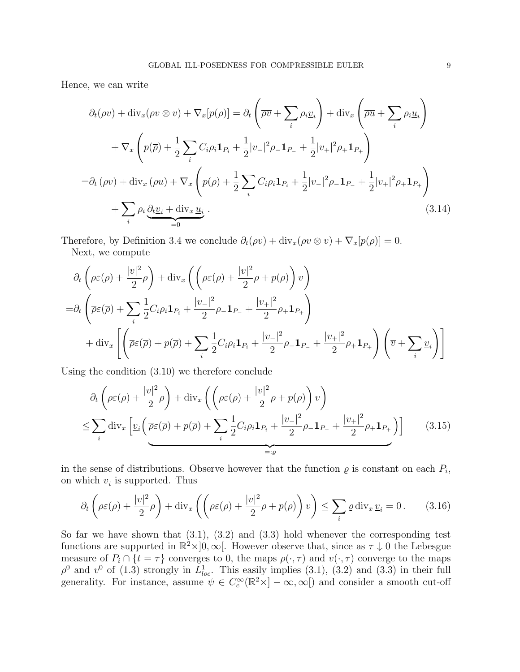Hence, we can write

$$
\partial_t(\rho v) + \text{div}_x(\rho v \otimes v) + \nabla_x[p(\rho)] = \partial_t \left( \overline{\rho v} + \sum_i \rho_i \underline{v}_i \right) + \text{div}_x \left( \overline{\rho u} + \sum_i \rho_i \underline{u}_i \right)
$$
  
+ 
$$
\nabla_x \left( p(\overline{\rho}) + \frac{1}{2} \sum_i C_i \rho_i \mathbf{1}_{P_i} + \frac{1}{2} |v_-|^2 \rho_- \mathbf{1}_{P_-} + \frac{1}{2} |v_+|^2 \rho_+ \mathbf{1}_{P_+} \right)
$$
  
= 
$$
\partial_t (\overline{\rho v}) + \text{div}_x (\overline{\rho u}) + \nabla_x \left( p(\overline{\rho}) + \frac{1}{2} \sum_i C_i \rho_i \mathbf{1}_{P_i} + \frac{1}{2} |v_-|^2 \rho_- \mathbf{1}_{P_-} + \frac{1}{2} |v_+|^2 \rho_+ \mathbf{1}_{P_+} \right)
$$
  
+ 
$$
\sum_i \rho_i \underbrace{\partial_t \underline{v}_i + \text{div}_x \underline{u}_i}_{=0} .
$$
 (3.14)

Therefore, by Definition 3.4 we conclude  $\partial_t(\rho v) + \text{div}_x(\rho v \otimes v) + \nabla_x[p(\rho)] = 0$ . Next, we compute

$$
\partial_t \left( \rho \varepsilon(\rho) + \frac{|v|^2}{2} \rho \right) + \text{div}_x \left( \left( \rho \varepsilon(\rho) + \frac{|v|^2}{2} \rho + p(\rho) \right) v \right)
$$
  
= 
$$
\partial_t \left( \overline{\rho} \varepsilon(\overline{\rho}) + \sum_i \frac{1}{2} C_i \rho_i \mathbf{1}_{P_i} + \frac{|v_-|^2}{2} \rho_- \mathbf{1}_{P_-} + \frac{|v_+|^2}{2} \rho_+ \mathbf{1}_{P_+} \right)
$$
  
+ 
$$
\text{div}_x \left[ \left( \overline{\rho} \varepsilon(\overline{\rho}) + p(\overline{\rho}) + \sum_i \frac{1}{2} C_i \rho_i \mathbf{1}_{P_i} + \frac{|v_-|^2}{2} \rho_- \mathbf{1}_{P_-} + \frac{|v_+|^2}{2} \rho_+ \mathbf{1}_{P_+} \right) \left( \overline{v} + \sum_i \underline{v}_i \right) \right]
$$

Using the condition (3.10) we therefore conclude

$$
\partial_t \left( \rho \varepsilon(\rho) + \frac{|v|^2}{2} \rho \right) + \text{div}_x \left( \left( \rho \varepsilon(\rho) + \frac{|v|^2}{2} \rho + p(\rho) \right) v \right)
$$
\n
$$
\leq \sum_i \text{div}_x \left[ \underline{v}_i \left( \overline{\rho} \varepsilon(\overline{\rho}) + p(\overline{\rho}) + \sum_i \frac{1}{2} C_i \rho_i \mathbf{1}_{P_i} + \frac{|v_-|^2}{2} \rho_- \mathbf{1}_{P_-} + \frac{|v_+|^2}{2} \rho_+ \mathbf{1}_{P_+} \right) \right] \tag{3.15}
$$

in the sense of distributions. Observe however that the function  $\rho$  is constant on each  $P_i$ , on which  $\underline{v}_i$  is supported. Thus

$$
\partial_t \left( \rho \varepsilon(\rho) + \frac{|v|^2}{2} \rho \right) + \text{div}_x \left( \left( \rho \varepsilon(\rho) + \frac{|v|^2}{2} \rho + p(\rho) \right) v \right) \le \sum_i \varrho \, \text{div}_x \, \underline{v}_i = 0 \,. \tag{3.16}
$$

So far we have shown that  $(3.1)$ ,  $(3.2)$  and  $(3.3)$  hold whenever the corresponding test functions are supported in  $\mathbb{R}^2 \times ]0,\infty[$ . However observe that, since as  $\tau \downarrow 0$  the Lebesgue measure of  $P_i \cap \{t = \tau\}$  converges to 0, the maps  $\rho(\cdot, \tau)$  and  $v(\cdot, \tau)$  converge to the maps  $\rho^0$  and  $v^0$  of (1.3) strongly in  $L^1_{loc}$ . This easily implies (3.1), (3.2) and (3.3) in their full generality. For instance, assume  $\psi \in C_c^{\infty}(\mathbb{R}^2 \times ]-\infty, \infty[$  and consider a smooth cut-off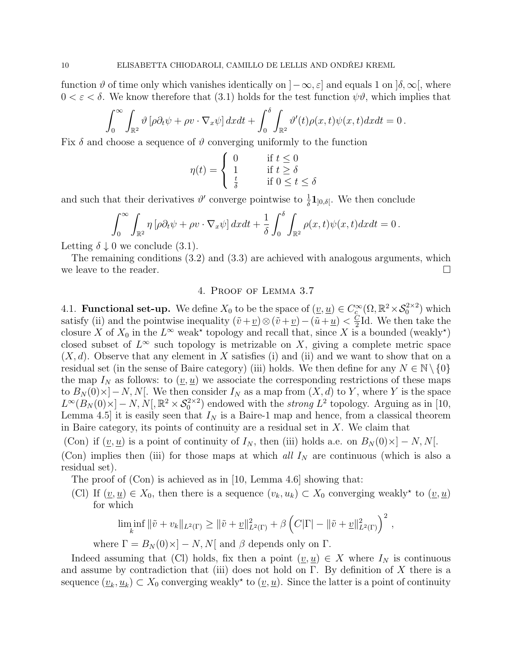function  $\vartheta$  of time only which vanishes identically on  $[-\infty, \varepsilon]$  and equals 1 on  $[\delta, \infty]$ , where  $0 < \varepsilon < \delta$ . We know therefore that (3.1) holds for the test function  $\psi \vartheta$ , which implies that

$$
\int_0^\infty \int_{\mathbb{R}^2} \vartheta \left[ \rho \partial_t \psi + \rho v \cdot \nabla_x \psi \right] dx dt + \int_0^\delta \int_{\mathbb{R}^2} \vartheta'(t) \rho(x, t) \psi(x, t) dx dt = 0.
$$

Fix  $\delta$  and choose a sequence of  $\vartheta$  converging uniformly to the function

$$
\eta(t) = \begin{cases} 0 & \text{if } t \le 0\\ 1 & \text{if } t \ge \delta\\ \frac{t}{\delta} & \text{if } 0 \le t \le \delta \end{cases}
$$

and such that their derivatives  $\vartheta'$  converge pointwise to  $\frac{1}{\delta} \mathbf{1}_{]0,\delta[}$ . We then conclude

$$
\int_0^\infty \int_{\mathbb{R}^2} \eta \left[ \rho \partial_t \psi + \rho v \cdot \nabla_x \psi \right] dx dt + \frac{1}{\delta} \int_0^\delta \int_{\mathbb{R}^2} \rho(x, t) \psi(x, t) dx dt = 0.
$$

Letting  $\delta \downarrow 0$  we conclude (3.1).

The remaining conditions (3.2) and (3.3) are achieved with analogous arguments, which we leave to the reader.  $\Box$ 

## 4. Proof of Lemma 3.7

4.1. **Functional set-up.** We define  $X_0$  to be the space of  $(\underline{v}, \underline{u}) \in C_c^{\infty}(\Omega, \mathbb{R}^2 \times S_0^{2 \times 2})$  which satisfy (ii) and the pointwise inequality  $(\tilde{v} + \underline{v}) \otimes (\tilde{v} + \underline{v}) - (\tilde{u} + \underline{u}) < \frac{C}{2}$  $\frac{C}{2}$ Id. We then take the closure X of  $X_0$  in the  $L^{\infty}$  weak<sup>\*</sup> topology and recall that, since X is a bounded (weakly<sup>\*</sup>) closed subset of  $L^{\infty}$  such topology is metrizable on X, giving a complete metric space  $(X, d)$ . Observe that any element in X satisfies (i) and (ii) and we want to show that on a residual set (in the sense of Baire category) (iii) holds. We then define for any  $N \in \mathbb{N} \setminus \{0\}$ the map  $I_N$  as follows: to  $(\underline{v}, \underline{u})$  we associate the corresponding restrictions of these maps to  $B_N(0) \times ]-N, N[$ . We then consider  $I_N$  as a map from  $(X, d)$  to Y, where Y is the space  $L^{\infty}(B_N(0) \times ]-N, N[$ ,  $\mathbb{R}^2 \times S_0^{2 \times 2}$  endowed with the *strong*  $L^2$  topology. Arguing as in [10, Lemma 4.5] it is easily seen that  $I<sub>N</sub>$  is a Baire-1 map and hence, from a classical theorem in Baire category, its points of continuity are a residual set in  $X$ . We claim that

(Con) if  $(\underline{v}, \underline{u})$  is a point of continuity of  $I_N$ , then (iii) holds a.e. on  $B_N(0) \times ]-N, N[$ .

(Con) implies then (iii) for those maps at which all  $I<sub>N</sub>$  are continuous (which is also a residual set).

The proof of (Con) is achieved as in [10, Lemma 4.6] showing that:

(Cl) If  $(\underline{v}, \underline{u}) \in X_0$ , then there is a sequence  $(v_k, u_k) \subset X_0$  converging weakly<sup>\*</sup> to  $(\underline{v}, \underline{u})$ for which

$$
\liminf_{k} \|\tilde{v} + v_k\|_{L^2(\Gamma)} \ge \|\tilde{v} + \underline{v}\|_{L^2(\Gamma)}^2 + \beta \left(C|\Gamma| - \|\tilde{v} + \underline{v}\|_{L^2(\Gamma)}^2\right)^2,
$$

where  $\Gamma = B_N(0) \times ] - N, N[$  and  $\beta$  depends only on  $\Gamma$ .

Indeed assuming that (Cl) holds, fix then a point  $(\underline{v}, \underline{u}) \in X$  where  $I_N$  is continuous and assume by contradiction that (iii) does not hold on  $\Gamma$ . By definition of X there is a sequence  $(\underline{v}_k, \underline{u}_k) \subset X_0$  converging weakly<sup>\*</sup> to  $(\underline{v}, \underline{u})$ . Since the latter is a point of continuity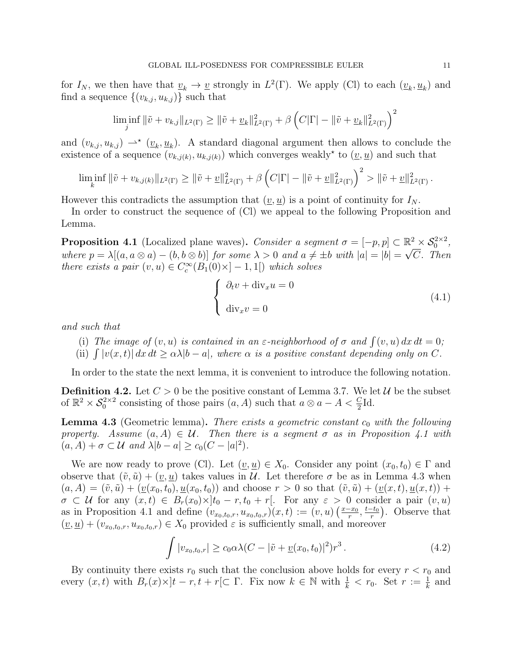for  $I_N$ , we then have that  $\underline{v}_k \to \underline{v}$  strongly in  $L^2(\Gamma)$ . We apply (Cl) to each  $(\underline{v}_k, \underline{u}_k)$  and find a sequence  $\{(v_{k,j}, u_{k,j})\}$  such that

$$
\liminf_{j} \|\tilde{v} + v_{k,j}\|_{L^{2}(\Gamma)} \ge \|\tilde{v} + \underline{v}_{k}\|_{L^{2}(\Gamma)}^{2} + \beta \left(C|\Gamma| - \|\tilde{v} + \underline{v}_{k}\|_{L^{2}(\Gamma)}^{2}\right)^{2}
$$

and  $(v_{k,j}, u_{k,j}) \rightharpoonup^* (\underline{v}_k, \underline{u}_k)$ . A standard diagonal argument then allows to conclude the existence of a sequence  $(v_{k,j(k)}, u_{k,j(k)})$  which converges weakly<sup>\*</sup> to  $(\underline{v}, \underline{u})$  and such that

$$
\liminf_{k} \|\tilde{v} + v_{k,j(k)}\|_{L^2(\Gamma)} \ge \|\tilde{v} + \underline{v}\|_{L^2(\Gamma)}^2 + \beta \left(C|\Gamma| - \|\tilde{v} + \underline{v}\|_{L^2(\Gamma)}^2\right)^2 > \|\tilde{v} + \underline{v}\|_{L^2(\Gamma)}^2.
$$

However this contradicts the assumption that  $(\underline{v}, \underline{u})$  is a point of continuity for  $I_N$ .

In order to construct the sequence of (Cl) we appeal to the following Proposition and Lemma.

**Proposition 4.1** (Localized plane waves). Consider a segment  $\sigma = [-p, p] \subset \mathbb{R}^2 \times S_0^{2 \times 2}$ , where  $p = \lambda[(a, a \otimes a) - (b, b \otimes b)]$  for some  $\lambda > 0$  and  $a \neq \pm b$  with  $|a| = |b| = \sqrt{C}$ . Then there exists a pair  $(v, u) \in C_c^{\infty}(B_1(0) \times ] - 1, 1[)$  which solves

$$
\begin{cases} \partial_t v + \operatorname{div}_x u = 0 \\ \operatorname{div}_x v = 0 \end{cases} \tag{4.1}
$$

and such that

- (i) The image of  $(v, u)$  is contained in an  $\varepsilon$ -neighborhood of  $\sigma$  and  $\int (v, u) dx dt = 0$ ;
- (ii)  $\int |v(x,t)| dx dt \ge \alpha \lambda |b-a|$ , where  $\alpha$  is a positive constant depending only on C.

In order to the state the next lemma, it is convenient to introduce the following notation.

**Definition 4.2.** Let  $C > 0$  be the positive constant of Lemma 3.7. We let  $U$  be the subset of  $\mathbb{R}^2 \times S_0^{2\times 2}$  consisting of those pairs  $(a, A)$  such that  $a \otimes a - A < \frac{C}{2}$ Id.

**Lemma 4.3** (Geometric lemma). There exists a geometric constant  $c_0$  with the following property. Assume  $(a, A) \in \mathcal{U}$ . Then there is a segment  $\sigma$  as in Proposition 4.1 with  $(a, A) + \sigma \subset \mathcal{U}$  and  $\lambda |b - a| \geq c_0 (C - |a|^2)$ .

We are now ready to prove (Cl). Let  $(v, u) \in X_0$ . Consider any point  $(x_0, t_0) \in \Gamma$  and observe that  $(\tilde{v}, \tilde{u}) + (v, u)$  takes values in U. Let therefore  $\sigma$  be as in Lemma 4.3 when  $(a, A) = (\tilde{v}, \tilde{u}) + (\underline{v}(x_0, t_0), \underline{u}(x_0, t_0))$  and choose  $r > 0$  so that  $(\tilde{v}, \tilde{u}) + (\underline{v}(x, t), \underline{u}(x, t)) +$  $\sigma \subset \mathcal{U}$  for any  $(x, t) \in B_r(x_0) \times ]t_0 - r, t_0 + r[$ . For any  $\varepsilon > 0$  consider a pair  $(v, u)$ as in Proposition 4.1 and define  $(v_{x_0,t_0,r}, u_{x_0,t_0,r})(x,t) := (v, u) \left( \frac{x-x_0}{r} \right)$  $\frac{-x_0}{r}, \frac{t-t_0}{r}$  $(\frac{-t_0}{r})$ . Observe that  $(\underline{v}, \underline{u}) + (v_{x_0, t_0, r}, u_{x_0, t_0, r}) \in X_0$  provided  $\varepsilon$  is sufficiently small, and moreover

$$
\int |v_{x_0,t_0,r}| \ge c_0 \alpha \lambda (C - |\tilde{v} + \underline{v}(x_0,t_0)|^2) r^3.
$$
 (4.2)

By continuity there exists  $r_0$  such that the conclusion above holds for every  $r < r_0$  and every  $(x, t)$  with  $B_r(x) \times ]t - r, t + r$  [C  $\Gamma$ . Fix now  $k \in \mathbb{N}$  with  $\frac{1}{k} < r_0$ . Set  $r := \frac{1}{k}$  and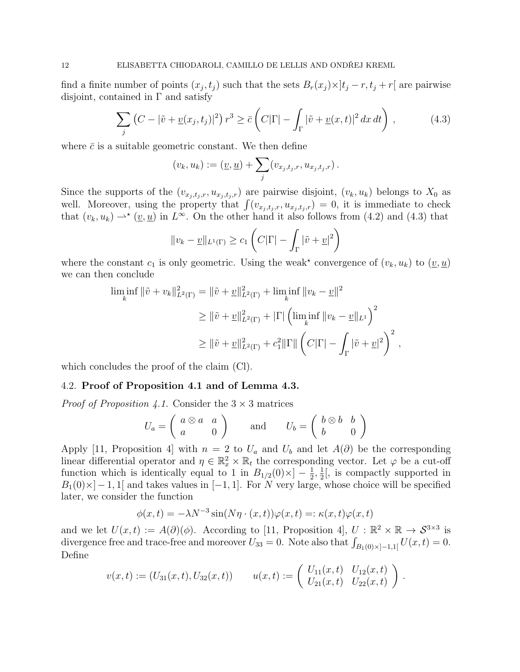find a finite number of points  $(x_j, t_j)$  such that the sets  $B_r(x_j) \times ]t_j - r, t_j + r[$  are pairwise disjoint, contained in  $\Gamma$  and satisfy

$$
\sum_{j} \left( C - |\tilde{v} + \underline{v}(x_j, t_j)|^2 \right) r^3 \ge \bar{c} \left( C|\Gamma| - \int_{\Gamma} |\tilde{v} + \underline{v}(x, t)|^2 \, dx \, dt \right) \,, \tag{4.3}
$$

where  $\bar{c}$  is a suitable geometric constant. We then define

$$
(v_k, u_k) := (\underline{v}, \underline{u}) + \sum_j (v_{x_j, t_j, r}, u_{x_j, t_j, r}).
$$

Since the supports of the  $(v_{x_j,t_j,r}, u_{x_j,t_j,r})$  are pairwise disjoint,  $(v_k, u_k)$  belongs to  $X_0$  as well. Moreover, using the property that  $\int (v_{x_j,t_j,r}, u_{x_j,t_j,r}) = 0$ , it is immediate to check that  $(v_k, u_k) \rightarrow^* (\underline{v}, \underline{u})$  in  $L^{\infty}$ . On the other hand it also follows from (4.2) and (4.3) that

$$
||v_k - \underline{v}||_{L^1(\Gamma)} \ge c_1 \left( C|\Gamma| - \int_{\Gamma} |\tilde{v} + \underline{v}|^2 \right)
$$

where the constant  $c_1$  is only geometric. Using the weak<sup>\*</sup> convergence of  $(v_k, u_k)$  to  $(\underline{v}, \underline{u})$ we can then conclude

$$
\liminf_{k} \|\tilde{v} + v_k\|_{L^2(\Gamma)}^2 = \|\tilde{v} + \underline{v}\|_{L^2(\Gamma)}^2 + \liminf_{k} \|v_k - \underline{v}\|^2
$$
  
\n
$$
\geq \|\tilde{v} + \underline{v}\|_{L^2(\Gamma)}^2 + |\Gamma| \left(\liminf_{k} \|v_k - \underline{v}\|_{L^1}\right)^2
$$
  
\n
$$
\geq \|\tilde{v} + \underline{v}\|_{L^2(\Gamma)}^2 + c_1^2 \|\Gamma\| \left(C|\Gamma| - \int_{\Gamma} |\tilde{v} + \underline{v}|^2\right)^2,
$$

which concludes the proof of the claim (Cl).

## 4.2. Proof of Proposition 4.1 and of Lemma 4.3.

*Proof of Proposition 4.1.* Consider the  $3 \times 3$  matrices

$$
U_a = \left(\begin{array}{cc} a\otimes a & a \\ a & 0 \end{array}\right) \quad \text{and} \quad U_b = \left(\begin{array}{cc} b\otimes b & b \\ b & 0 \end{array}\right)
$$

Apply [11, Proposition 4] with  $n = 2$  to  $U_a$  and  $U_b$  and let  $A(\partial)$  be the corresponding linear differential operator and  $\eta \in \mathbb{R}_x^2 \times \mathbb{R}_t$  the corresponding vector. Let  $\varphi$  be a cut-off function which is identically equal to 1 in  $B_{1/2}(0) \times -\frac{1}{2}$  $\frac{1}{2}, \frac{1}{2}$  $\frac{1}{2}$ , is compactly supported in  $B_1(0) \times ]-1, 1[$  and takes values in  $[-1, 1]$ . For N very large, whose choice will be specified later, we consider the function

$$
\phi(x,t)=-\lambda N^{-3}\sin(N\eta\cdot(x,t))\varphi(x,t)=:\kappa(x,t)\varphi(x,t)
$$

and we let  $U(x,t) := A(\partial)(\phi)$ . According to [11, Proposition 4],  $U : \mathbb{R}^2 \times \mathbb{R} \to \mathcal{S}^{3 \times 3}$  is divergence free and trace-free and moreover  $U_{33} = 0$ . Note also that  $\int_{B_1(0) \times ]-1,1[} U(x,t) = 0$ . Define

$$
v(x,t) := (U_{31}(x,t), U_{32}(x,t)) \qquad u(x,t) := \begin{pmatrix} U_{11}(x,t) & U_{12}(x,t) \\ U_{21}(x,t) & U_{22}(x,t) \end{pmatrix}.
$$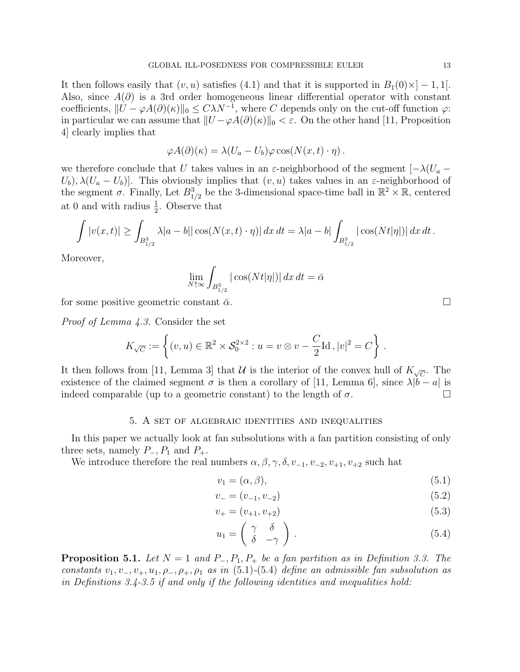It then follows easily that  $(v, u)$  satisfies (4.1) and that it is supported in  $B_1(0) \times ]-1, 1[$ . Also, since  $A(\partial)$  is a 3rd order homogeneous linear differential operator with constant coefficients,  $||U - \varphi A(\partial)(\kappa)||_0 \leq C\lambda N^{-1}$ , where C depends only on the cut-off function  $\varphi$ : in particular we can assume that  $||U - \varphi A(\partial)(\kappa)||_0 < \varepsilon$ . On the other hand [11, Proposition 4] clearly implies that

$$
\varphi A(\partial)(\kappa) = \lambda (U_a - U_b) \varphi \cos(N(x, t) \cdot \eta).
$$

we therefore conclude that U takes values in an  $\varepsilon$ -neighborhood of the segment  $[-\lambda(U_a U_b$ ),  $\lambda (U_a - U_b)$ . This obviously implies that  $(v, u)$  takes values in an  $\varepsilon$ -neighborhood of the segment  $\sigma$ . Finally, Let  $B_{1/2}^3$  be the 3-dimensional space-time ball in  $\mathbb{R}^2 \times \mathbb{R}$ , centered at 0 and with radius  $\frac{1}{2}$ . Observe that

$$
\int |v(x,t)| \geq \int_{B_{1/2}^3} \lambda |a-b| |\cos(N(x,t)\cdot \eta)| dx dt = \lambda |a-b| \int_{B_{1/2}^3} |\cos(Nt|\eta|)| dx dt.
$$

Moreover,

$$
\lim_{N \uparrow \infty} \int_{B_{1/2}^3} |\cos(Nt|\eta|)| \, dx \, dt = \bar{\alpha}
$$

for some positive geometric constant  $\bar{\alpha}$ .

Proof of Lemma 4.3. Consider the set

$$
K_{\sqrt{C}} := \left\{ (v, u) \in \mathbb{R}^2 \times \mathcal{S}_0^{2 \times 2} : u = v \otimes v - \frac{C}{2} \mathrm{Id} \,, |v|^2 = C \right\} \,.
$$

It then follows from [11, Lemma 3] that  $\mathcal U$  is the interior of the convex hull of  $K_{\sqrt{C}}$ . The existence of the claimed segment  $\sigma$  is then a corollary of [11, Lemma 6], since  $\lambda |b - a|$  is indeed comparable (up to a geometric constant) to the length of  $\sigma$ .

#### 5. A set of algebraic identities and inequalities

In this paper we actually look at fan subsolutions with a fan partition consisting of only three sets, namely  $P_-, P_1$  and  $P_+$ .

We introduce therefore the real numbers  $\alpha, \beta, \gamma, \delta, v_{-1}, v_{-2}, v_{+1}, v_{+2}$  such hat

$$
v_1 = (\alpha, \beta), \tag{5.1}
$$

$$
v_{-} = (v_{-1}, v_{-2}) \tag{5.2}
$$

$$
v_{+} = (v_{+1}, v_{+2}) \tag{5.3}
$$

$$
u_1 = \begin{pmatrix} \gamma & \delta \\ \delta & -\gamma \end{pmatrix} . \tag{5.4}
$$

**Proposition 5.1.** Let  $N = 1$  and  $P_-, P_1, P_+$  be a fan partition as in Definition 3.3. The constants  $v_1, v_-, v_+, u_1, \rho_-, \rho_+, \rho_1$  as in (5.1)-(5.4) define an admissible fan subsolution as in Definitions 3.4-3.5 if and only if the following identities and inequalities hold: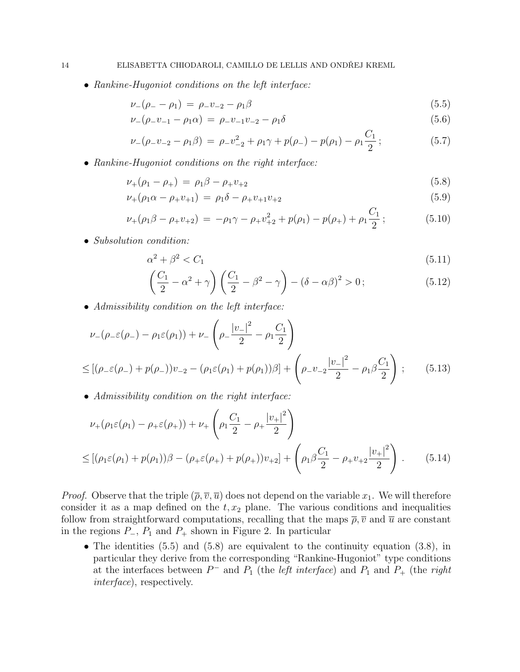• Rankine-Hugoniot conditions on the left interface:

$$
\nu_{-}(\rho_{-}-\rho_{1}) = \rho_{-}v_{-2} - \rho_{1}\beta \tag{5.5}
$$

$$
\nu_{-}(\rho_{-}v_{-1}-\rho_{1}\alpha) = \rho_{-}v_{-1}v_{-2}-\rho_{1}\delta \tag{5.6}
$$

$$
\nu_{-}(\rho_{-}v_{-2}-\rho_{1}\beta) = \rho_{-}v_{-2}^{2} + \rho_{1}\gamma + p(\rho_{-}) - p(\rho_{1}) - \rho_{1}\frac{C_{1}}{2};
$$
\n(5.7)

• Rankine-Hugoniot conditions on the right interface:

$$
\nu_{+}(\rho_{1}-\rho_{+}) = \rho_{1}\beta - \rho_{+}\nu_{+2} \tag{5.8}
$$

$$
\nu_{+}(\rho_1 \alpha - \rho_{+} v_{+1}) = \rho_1 \delta - \rho_{+} v_{+1} v_{+2} \tag{5.9}
$$

$$
\nu_{+}(\rho_{1}\beta - \rho_{+}v_{+2}) = -\rho_{1}\gamma - \rho_{+}v_{+2}^{2} + p(\rho_{1}) - p(\rho_{+}) + \rho_{1}\frac{C_{1}}{2};
$$
\n(5.10)

• Subsolution condition:

$$
\alpha^2 + \beta^2 < C_1 \tag{5.11}
$$

$$
\left(\frac{C_1}{2} - \alpha^2 + \gamma\right) \left(\frac{C_1}{2} - \beta^2 - \gamma\right) - \left(\delta - \alpha\beta\right)^2 > 0\tag{5.12}
$$

• Admissibility condition on the left interface:

$$
\nu_{-}(\rho_{-}\varepsilon(\rho_{-}) - \rho_{1}\varepsilon(\rho_{1})) + \nu_{-}\left(\rho_{-}\frac{|v_{-}|^{2}}{2} - \rho_{1}\frac{C_{1}}{2}\right)
$$
  

$$
\leq [(\rho_{-}\varepsilon(\rho_{-}) + p(\rho_{-}))v_{-2} - (\rho_{1}\varepsilon(\rho_{1}) + p(\rho_{1}))\beta] + \left(\rho_{-}v_{-2}\frac{|v_{-}|^{2}}{2} - \rho_{1}\beta\frac{C_{1}}{2}\right);
$$
(5.13)

• Admissibility condition on the right interface:

$$
\nu_{+}(\rho_{1}\varepsilon(\rho_{1}) - \rho_{+}\varepsilon(\rho_{+})) + \nu_{+}\left(\rho_{1}\frac{C_{1}}{2} - \rho_{+}\frac{|v_{+}|^{2}}{2}\right)
$$
  

$$
\leq [(\rho_{1}\varepsilon(\rho_{1}) + p(\rho_{1}))\beta - (\rho_{+}\varepsilon(\rho_{+}) + p(\rho_{+}))v_{+2}] + \left(\rho_{1}\beta\frac{C_{1}}{2} - \rho_{+}v_{+2}\frac{|v_{+}|^{2}}{2}\right).
$$
(5.14)

*Proof.* Observe that the triple  $(\overline{\rho}, \overline{v}, \overline{u})$  does not depend on the variable  $x_1$ . We will therefore consider it as a map defined on the  $t, x_2$  plane. The various conditions and inequalities follow from straightforward computations, recalling that the maps  $\bar{\rho}$ ,  $\bar{v}$  and  $\bar{u}$  are constant in the regions  $P_-, P_1$  and  $P_+$  shown in Figure 2. In particular

• The identities (5.5) and (5.8) are equivalent to the continuity equation (3.8), in particular they derive from the corresponding "Rankine-Hugoniot" type conditions at the interfaces between  $P^-$  and  $P_1$  (the *left interface*) and  $P_1$  and  $P_+$  (the *right* interface), respectively.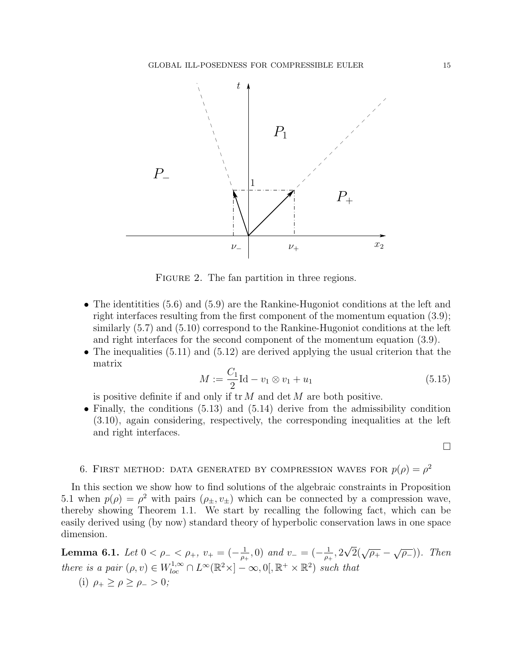

FIGURE 2. The fan partition in three regions.

- The identitities (5.6) and (5.9) are the Rankine-Hugoniot conditions at the left and right interfaces resulting from the first component of the momentum equation (3.9); similarly (5.7) and (5.10) correspond to the Rankine-Hugoniot conditions at the left and right interfaces for the second component of the momentum equation (3.9).
- The inequalities (5.11) and (5.12) are derived applying the usual criterion that the matrix

$$
M := \frac{C_1}{2} \text{Id} - v_1 \otimes v_1 + u_1 \tag{5.15}
$$

is positive definite if and only if  $tr M$  and  $det M$  are both positive.

• Finally, the conditions (5.13) and (5.14) derive from the admissibility condition (3.10), again considering, respectively, the corresponding inequalities at the left and right interfaces.

## $\Box$

# 6. FIRST METHOD: DATA GENERATED BY COMPRESSION WAVES FOR  $p(\rho) = \rho^2$

In this section we show how to find solutions of the algebraic constraints in Proposition 5.1 when  $p(\rho) = \rho^2$  with pairs  $(\rho_{\pm}, v_{\pm})$  which can be connected by a compression wave, thereby showing Theorem 1.1. We start by recalling the following fact, which can be easily derived using (by now) standard theory of hyperbolic conservation laws in one space dimension.

Lemma 6.1. Let  $0 < \rho_- < \rho_+$ ,  $v_+ = \left(-\frac{1}{\rho_+}\right)$  $\frac{1}{\rho_+}, 0$ ) and  $v_- = (-\frac{1}{\rho_+})$  $\frac{1}{\rho_+}, 2$  $\sqrt{2}(\sqrt{\rho_+} - \sqrt{\rho_-}))$ . Then there is a pair  $(\rho, v) \in W_{loc}^{1,\infty} \cap L^{\infty}(\mathbb{R}^2 \times ]-\infty, 0[$ ,  $\mathbb{R}^+ \times \mathbb{R}^2)$  such that (i)  $\rho_+ \ge \rho \ge \rho_- > 0$ ;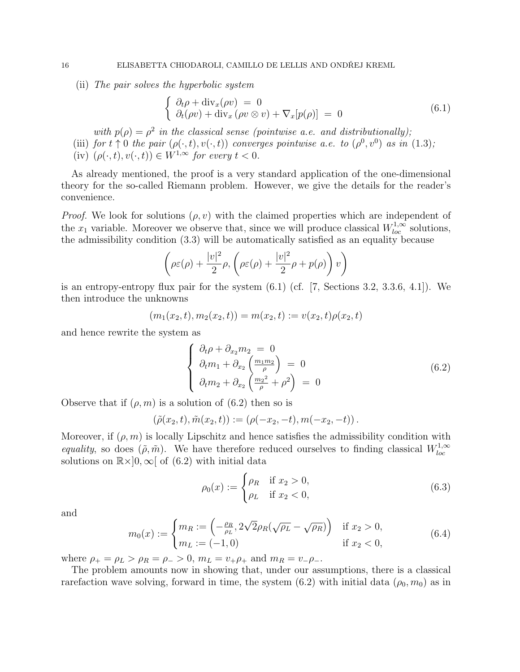(ii) The pair solves the hyperbolic system

$$
\begin{cases}\n\partial_t \rho + \text{div}_x(\rho v) = 0 \\
\partial_t(\rho v) + \text{div}_x(\rho v \otimes v) + \nabla_x[p(\rho)] = 0\n\end{cases}
$$
\n(6.1)

with  $p(\rho) = \rho^2$  in the classical sense (pointwise a.e. and distributionally); (iii) for  $t \uparrow 0$  the pair  $(\rho(\cdot,t), v(\cdot,t))$  converges pointwise a.e. to  $(\rho^0, v^0)$  as in  $(1.3)$ ; (iv)  $(\rho(\cdot,t), v(\cdot,t)) \in W^{1,\infty}$  for every  $t < 0$ .

As already mentioned, the proof is a very standard application of the one-dimensional theory for the so-called Riemann problem. However, we give the details for the reader's convenience.

*Proof.* We look for solutions  $(\rho, v)$  with the claimed properties which are independent of the  $x_1$  variable. Moreover we observe that, since we will produce classical  $W_{loc}^{1,\infty}$  solutions, the admissibility condition (3.3) will be automatically satisfied as an equality because

$$
\left(\rho \varepsilon(\rho) + \frac{|v|^2}{2}\rho, \left(\rho \varepsilon(\rho) + \frac{|v|^2}{2}\rho + p(\rho)\right)v\right)
$$

is an entropy-entropy flux pair for the system  $(6.1)$  (cf.  $[7,$  Sections 3.2, 3.3.6, 4.1]). We then introduce the unknowns

$$
(m_1(x_2,t), m_2(x_2,t)) = m(x_2,t) := v(x_2,t)\rho(x_2,t)
$$

and hence rewrite the system as

$$
\begin{cases}\n\partial_t \rho + \partial_{x_2} m_2 = 0 \\
\partial_t m_1 + \partial_{x_2} \left( \frac{m_1 m_2}{\rho} \right) = 0 \\
\partial_t m_2 + \partial_{x_2} \left( \frac{m_2^2}{\rho} + \rho^2 \right) = 0\n\end{cases}
$$
\n(6.2)

Observe that if  $(\rho, m)$  is a solution of  $(6.2)$  then so is

$$
(\tilde{\rho}(x_2,t),\tilde{m}(x_2,t)) := (\rho(-x_2,-t),m(-x_2,-t)).
$$

Moreover, if  $(\rho, m)$  is locally Lipschitz and hence satisfies the admissibility condition with equality, so does  $(\tilde{\rho}, \tilde{m})$ . We have therefore reduced ourselves to finding classical  $W_{loc}^{1,\infty}$ loc solutions on  $\mathbb{R} \times ]0, \infty[$  of (6.2) with initial data

$$
\rho_0(x) := \begin{cases} \rho_R & \text{if } x_2 > 0, \\ \rho_L & \text{if } x_2 < 0, \end{cases}
$$
\n(6.3)

and

$$
m_0(x) := \begin{cases} m_R := \left( -\frac{\rho_R}{\rho_L}, 2\sqrt{2}\rho_R(\sqrt{\rho_L} - \sqrt{\rho_R}) \right) & \text{if } x_2 > 0, \\ m_L := (-1, 0) & \text{if } x_2 < 0, \end{cases}
$$
(6.4)

where  $\rho_+ = \rho_L > \rho_R = \rho_- > 0$ ,  $m_L = v_+ \rho_+$  and  $m_R = v_- \rho_-$ .

The problem amounts now in showing that, under our assumptions, there is a classical rarefaction wave solving, forward in time, the system  $(6.2)$  with initial data  $(\rho_0, m_0)$  as in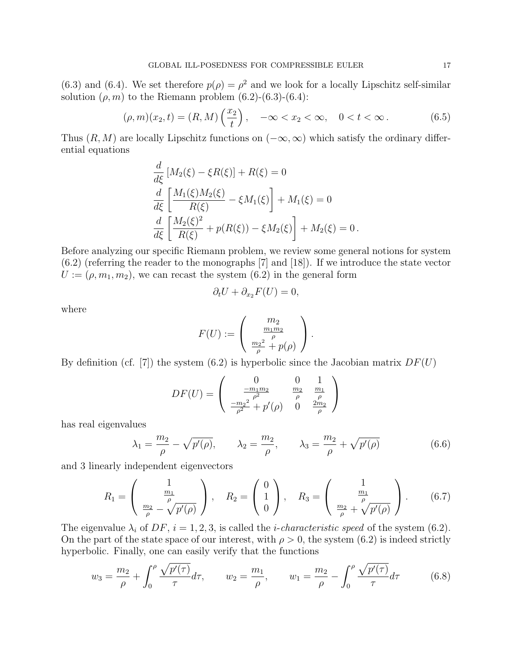(6.3) and (6.4). We set therefore  $p(\rho) = \rho^2$  and we look for a locally Lipschitz self-similar solution  $(\rho, m)$  to the Riemann problem  $(6.2)-(6.3)-(6.4)$ :

$$
(\rho, m)(x_2, t) = (R, M) \left(\frac{x_2}{t}\right), \quad -\infty < x_2 < \infty, \quad 0 < t < \infty. \tag{6.5}
$$

Thus  $(R, M)$  are locally Lipschitz functions on  $(-\infty, \infty)$  which satisfy the ordinary differential equations

$$
\frac{d}{d\xi} [M_2(\xi) - \xi R(\xi)] + R(\xi) = 0
$$
  

$$
\frac{d}{d\xi} \left[ \frac{M_1(\xi)M_2(\xi)}{R(\xi)} - \xi M_1(\xi) \right] + M_1(\xi) = 0
$$
  

$$
\frac{d}{d\xi} \left[ \frac{M_2(\xi)^2}{R(\xi)} + p(R(\xi)) - \xi M_2(\xi) \right] + M_2(\xi) = 0.
$$

Before analyzing our specific Riemann problem, we review some general notions for system  $(6.2)$  (referring the reader to the monographs [7] and [18]). If we introduce the state vector  $U := (\rho, m_1, m_2)$ , we can recast the system  $(6.2)$  in the general form

$$
\partial_t U + \partial_{x_2} F(U) = 0,
$$

where

$$
F(U) := \begin{pmatrix} m_2 \\ \frac{m_1 m_2}{\rho} \\ \frac{m_2^2}{\rho} + p(\rho) \end{pmatrix}.
$$

By definition (cf. [7]) the system (6.2) is hyperbolic since the Jacobian matrix  $DF(U)$ 

$$
DF(U) = \begin{pmatrix} 0 & 0 & 1 \ \frac{-m_1 m_2}{\rho^2} & \frac{m_2}{\rho} & \frac{m_1}{\rho} \\ \frac{-m_2^2}{\rho^2} + p'(\rho) & 0 & \frac{2m_2}{\rho} \end{pmatrix}
$$

has real eigenvalues

$$
\lambda_1 = \frac{m_2}{\rho} - \sqrt{p'(\rho)}, \qquad \lambda_2 = \frac{m_2}{\rho}, \qquad \lambda_3 = \frac{m_2}{\rho} + \sqrt{p'(\rho)}
$$
\n(6.6)

and 3 linearly independent eigenvectors

$$
R_1 = \begin{pmatrix} 1 \\ \frac{m_1}{\rho} \\ \frac{m_2}{\rho} - \sqrt{p'(\rho)} \end{pmatrix}, \quad R_2 = \begin{pmatrix} 0 \\ 1 \\ 0 \end{pmatrix}, \quad R_3 = \begin{pmatrix} 1 \\ \frac{m_1}{\rho} \\ \frac{m_2}{\rho} + \sqrt{p'(\rho)} \end{pmatrix}.
$$
 (6.7)

The eigenvalue  $\lambda_i$  of DF,  $i = 1, 2, 3$ , is called the *i*-characteristic speed of the system (6.2). On the part of the state space of our interest, with  $\rho > 0$ , the system (6.2) is indeed strictly hyperbolic. Finally, one can easily verify that the functions

$$
w_3 = \frac{m_2}{\rho} + \int_0^{\rho} \frac{\sqrt{p'(\tau)}}{\tau} d\tau, \qquad w_2 = \frac{m_1}{\rho}, \qquad w_1 = \frac{m_2}{\rho} - \int_0^{\rho} \frac{\sqrt{p'(\tau)}}{\tau} d\tau \qquad (6.8)
$$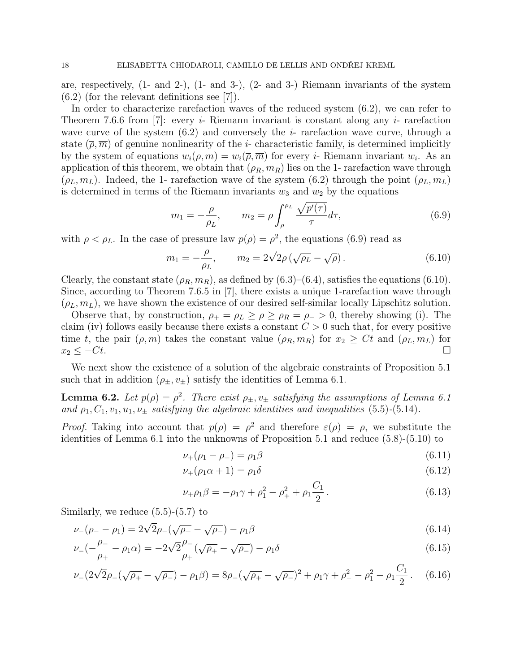are, respectively, (1- and 2-), (1- and 3-), (2- and 3-) Riemann invariants of the system (6.2) (for the relevant definitions see [7]).

In order to characterize rarefaction waves of the reduced system (6.2), we can refer to Theorem 7.6.6 from [7]: every *i*- Riemann invariant is constant along any *i*- rarefaction wave curve of the system  $(6.2)$  and conversely the *i*- rarefaction wave curve, through a state  $(\overline{\rho}, \overline{m})$  of genuine nonlinearity of the *i*-characteristic family, is determined implicitly by the system of equations  $w_i(\rho, m) = w_i(\overline{\rho}, \overline{m})$  for every *i*- Riemann invariant  $w_i$ . As an application of this theorem, we obtain that  $(\rho_R, m_R)$  lies on the 1- rarefaction wave through  $(\rho_L, m_L)$ . Indeed, the 1- rarefaction wave of the system (6.2) through the point  $(\rho_L, m_L)$ is determined in terms of the Riemann invariants  $w_3$  and  $w_2$  by the equations

$$
m_1 = -\frac{\rho}{\rho_L}, \qquad m_2 = \rho \int_{\rho}^{\rho_L} \frac{\sqrt{p'(\tau)}}{\tau} d\tau, \tag{6.9}
$$

with  $\rho < \rho_L$ . In the case of pressure law  $p(\rho) = \rho^2$ , the equations (6.9) read as

$$
m_1 = -\frac{\rho}{\rho_L}, \qquad m_2 = 2\sqrt{2}\rho \left(\sqrt{\rho_L} - \sqrt{\rho}\right). \tag{6.10}
$$

Clearly, the constant state  $(\rho_R, m_R)$ , as defined by  $(6.3)$ – $(6.4)$ , satisfies the equations  $(6.10)$ . Since, according to Theorem 7.6.5 in [7], there exists a unique 1-rarefaction wave through  $(\rho_L, m_L)$ , we have shown the existence of our desired self-similar locally Lipschitz solution.

Observe that, by construction,  $\rho_+ = \rho_L \ge \rho \ge \rho_R = \rho_- > 0$ , thereby showing (i). The claim (iv) follows easily because there exists a constant  $C > 0$  such that, for every positive time t, the pair  $(\rho, m)$  takes the constant value  $(\rho_R, m_R)$  for  $x_2 \geq Ct$  and  $(\rho_L, m_L)$  for  $x_2 \leq -Ct.$ 

We next show the existence of a solution of the algebraic constraints of Proposition 5.1 such that in addition  $(\rho_{\pm}, v_{\pm})$  satisfy the identities of Lemma 6.1.

**Lemma 6.2.** Let  $p(\rho) = \rho^2$ . There exist  $\rho_{\pm}, v_{\pm}$  satisfying the assumptions of Lemma 6.1 and  $\rho_1, C_1, v_1, u_1, v_{\pm}$  satisfying the algebraic identities and inequalities (5.5)-(5.14).

*Proof.* Taking into account that  $p(\rho) = \rho^2$  and therefore  $\varepsilon(\rho) = \rho$ , we substitute the identities of Lemma 6.1 into the unknowns of Proposition 5.1 and reduce (5.8)-(5.10) to

$$
\nu_{+}(\rho_{1} - \rho_{+}) = \rho_{1}\beta \tag{6.11}
$$

$$
\nu_{+}(\rho_{1}\alpha+1)=\rho_{1}\delta\tag{6.12}
$$

$$
\nu_{+}\rho_{1}\beta = -\rho_{1}\gamma + \rho_{1}^{2} - \rho_{+}^{2} + \rho_{1}\frac{C_{1}}{2}.
$$
\n(6.13)

Similarly, we reduce  $(5.5)-(5.7)$  to

$$
\nu_{-}(\rho_{-}-\rho_{1}) = 2\sqrt{2}\rho_{-}(\sqrt{\rho_{+}}-\sqrt{\rho_{-}}) - \rho_{1}\beta
$$
\n(6.14)

$$
\nu_{-}(-\frac{\rho_{-}}{\rho_{+}} - \rho_{1}\alpha) = -2\sqrt{2}\frac{\rho_{-}}{\rho_{+}}(\sqrt{\rho_{+}} - \sqrt{\rho_{-}}) - \rho_{1}\delta
$$
\n(6.15)

$$
\nu_{-}(2\sqrt{2}\rho_{-}(\sqrt{\rho_{+}}-\sqrt{\rho_{-}})-\rho_{1}\beta)=8\rho_{-}(\sqrt{\rho_{+}}-\sqrt{\rho_{-}})^{2}+\rho_{1}\gamma+\rho_{-}^{2}-\rho_{1}^{2}-\rho_{1}\frac{C_{1}}{2}.
$$
 (6.16)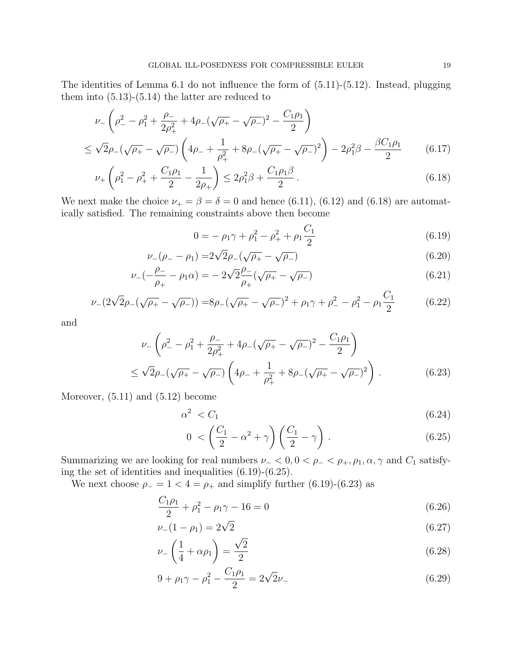The identities of Lemma 6.1 do not influence the form of (5.11)-(5.12). Instead, plugging them into  $(5.13)-(5.14)$  the latter are reduced to

$$
\nu_{-}\left(\rho_{-}^{2} - \rho_{1}^{2} + \frac{\rho_{-}}{2\rho_{+}^{2}} + 4\rho_{-}(\sqrt{\rho_{+}} - \sqrt{\rho_{-}})^{2} - \frac{C_{1}\rho_{1}}{2}\right)
$$
  

$$
\leq \sqrt{2}\rho_{-}(\sqrt{\rho_{+}} - \sqrt{\rho_{-}})\left(4\rho_{-} + \frac{1}{\rho_{+}^{2}} + 8\rho_{-}(\sqrt{\rho_{+}} - \sqrt{\rho_{-}})^{2}\right) - 2\rho_{1}^{2}\beta - \frac{\beta C_{1}\rho_{1}}{2}
$$
(6.17)

$$
\nu_{+}\left(\rho_1^2 - \rho_+^2 + \frac{C_1\rho_1}{2} - \frac{1}{2\rho_+}\right) \le 2\rho_1^2\beta + \frac{C_1\rho_1\beta}{2}.
$$
\n(6.18)

We next make the choice  $\nu_{+} = \beta = \delta = 0$  and hence (6.11), (6.12) and (6.18) are automatically satisfied. The remaining constraints above then become

$$
0 = -\rho_1 \gamma + \rho_1^2 - \rho_+^2 + \rho_1 \frac{C_1}{2}
$$
\n(6.19)

$$
\nu_{-}(\rho_{-}-\rho_{1}) = 2\sqrt{2}\rho_{-}(\sqrt{\rho_{+}}-\sqrt{\rho_{-}})
$$
\n
$$
\rho_{-} = \sqrt{\rho_{-} + \sqrt{\rho_{-}} - \sqrt{\rho_{-}}}
$$
\n(6.20)

$$
\nu_{-}\left(-\frac{\rho_{-}}{\rho_{+}} - \rho_{1}\alpha\right) = -2\sqrt{2}\frac{\rho_{-}}{\rho_{+}}\left(\sqrt{\rho_{+}} - \sqrt{\rho_{-}}\right)
$$
(6.21)

$$
\nu_{-}(2\sqrt{2}\rho_{-}(\sqrt{\rho_{+}}-\sqrt{\rho_{-}})) = 8\rho_{-}(\sqrt{\rho_{+}}-\sqrt{\rho_{-}})^{2} + \rho_{1}\gamma + \rho_{-}^{2} - \rho_{1}^{2} - \rho_{1}\frac{C_{1}}{2}
$$
(6.22)

and

$$
\nu_{-}\left(\rho_{-}^{2}-\rho_{1}^{2}+\frac{\rho_{-}}{2\rho_{+}^{2}}+4\rho_{-}(\sqrt{\rho_{+}}-\sqrt{\rho_{-}})^{2}-\frac{C_{1}\rho_{1}}{2}\right)
$$
  

$$
\leq\sqrt{2}\rho_{-}(\sqrt{\rho_{+}}-\sqrt{\rho_{-}})\left(4\rho_{-}+\frac{1}{\rho_{+}^{2}}+8\rho_{-}(\sqrt{\rho_{+}}-\sqrt{\rho_{-}})^{2}\right).
$$
 (6.23)

Moreover,  $(5.11)$  and  $(5.12)$  become

$$
\alpha^2 \, < C_1 \tag{6.24}
$$

$$
0 < \left(\frac{C_1}{2} - \alpha^2 + \gamma\right) \left(\frac{C_1}{2} - \gamma\right). \tag{6.25}
$$

Summarizing we are looking for real numbers  $\nu_{-} < 0, 0 < \rho_{-} < \rho_{+}, \rho_{1}, \alpha, \gamma$  and  $C_1$  satisfying the set of identities and inequalities (6.19)-(6.25).

We next choose  $\rho_-=1<4=\rho_+$  and simplify further (6.19)-(6.23) as

$$
\frac{C_1\rho_1}{2} + \rho_1^2 - \rho_1\gamma - 16 = 0\tag{6.26}
$$

$$
\nu_{-}(1 - \rho_{1}) = 2\sqrt{2} \tag{6.27}
$$

$$
\nu_{-}\left(\frac{1}{4}+\alpha\rho_{1}\right)=\frac{\sqrt{2}}{2}\tag{6.28}
$$

$$
9 + \rho_1 \gamma - \rho_1^2 - \frac{C_1 \rho_1}{2} = 2\sqrt{2}\nu_{-}
$$
\n(6.29)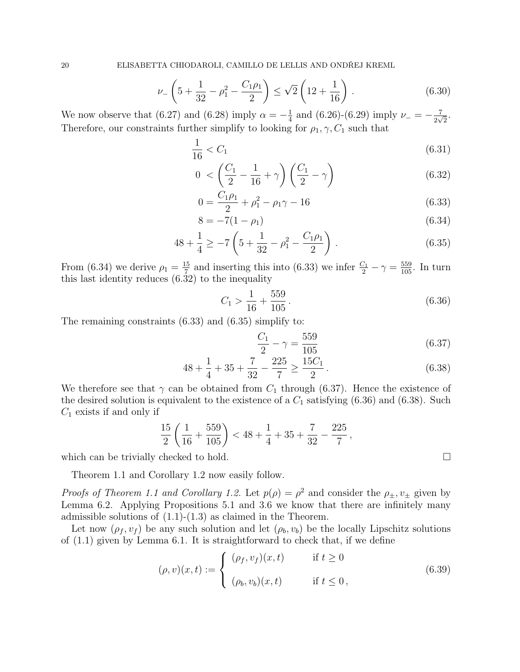$$
\nu_{-}\left(5+\frac{1}{32}-\rho_{1}^{2}-\frac{C_{1}\rho_{1}}{2}\right) \leq \sqrt{2}\left(12+\frac{1}{16}\right). \tag{6.30}
$$

We now observe that (6.27) and (6.28) imply  $\alpha = -\frac{1}{4}$  $\frac{1}{4}$  and (6.26)-(6.29) imply  $\nu = -\frac{7}{2\nu}$  $rac{7}{2\sqrt{2}}$ . Therefore, our constraints further simplify to looking for  $\rho_1, \gamma, C_1$  such that

$$
\frac{1}{16} < C_1 \tag{6.31}
$$

$$
0 < \left(\frac{C_1}{2} - \frac{1}{16} + \gamma\right) \left(\frac{C_1}{2} - \gamma\right) \tag{6.32}
$$

$$
0 = \frac{C_1 \rho_1}{2} + \rho_1^2 - \rho_1 \gamma - 16 \tag{6.33}
$$

$$
8 = -7(1 - \rho_1) \tag{6.34}
$$

$$
48 + \frac{1}{4} \ge -7\left(5 + \frac{1}{32} - \rho_1^2 - \frac{C_1\rho_1}{2}\right). \tag{6.35}
$$

From (6.34) we derive  $\rho_1 = \frac{15}{7}$  $\frac{15}{7}$  and inserting this into (6.33) we infer  $\frac{C_1}{2} - \gamma = \frac{559}{105}$ . In turn this last identity reduces  $(6.32)$  to the inequality

$$
C_1 > \frac{1}{16} + \frac{559}{105} \,. \tag{6.36}
$$

The remaining constraints (6.33) and (6.35) simplify to:

$$
\frac{C_1}{2} - \gamma = \frac{559}{105} \tag{6.37}
$$

$$
48 + \frac{1}{4} + 35 + \frac{7}{32} - \frac{225}{7} \ge \frac{15C_1}{2}.
$$
\n
$$
(6.38)
$$

We therefore see that  $\gamma$  can be obtained from  $C_1$  through (6.37). Hence the existence of the desired solution is equivalent to the existence of a  $C_1$  satisfying  $(6.36)$  and  $(6.38)$ . Such  $C_1$  exists if and only if

$$
\frac{15}{2} \left( \frac{1}{16} + \frac{559}{105} \right) < 48 + \frac{1}{4} + 35 + \frac{7}{32} - \frac{225}{7},
$$

which can be trivially checked to hold.  $\square$ 

Theorem 1.1 and Corollary 1.2 now easily follow.

*Proofs of Theorem 1.1 and Corollary 1.2.* Let  $p(\rho) = \rho^2$  and consider the  $\rho_{\pm}, v_{\pm}$  given by Lemma 6.2. Applying Propositions 5.1 and 3.6 we know that there are infinitely many admissible solutions of  $(1.1)-(1.3)$  as claimed in the Theorem.

Let now  $(\rho_f, v_f)$  be any such solution and let  $(\rho_b, v_b)$  be the locally Lipschitz solutions of (1.1) given by Lemma 6.1. It is straightforward to check that, if we define

$$
(\rho, v)(x, t) := \begin{cases} (\rho_f, v_f)(x, t) & \text{if } t \ge 0 \\ (\rho_b, v_b)(x, t) & \text{if } t \le 0, \end{cases}
$$
\n(6.39)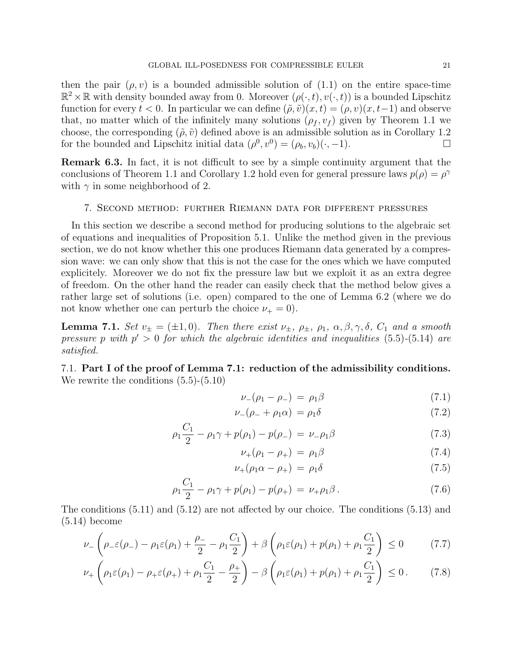then the pair  $(\rho, v)$  is a bounded admissible solution of  $(1.1)$  on the entire space-time  $\mathbb{R}^2 \times \mathbb{R}$  with density bounded away from 0. Moreover  $(\rho(\cdot,t), v(\cdot,t))$  is a bounded Lipschitz function for every  $t < 0$ . In particular we can define  $(\tilde{\rho}, \tilde{v})(x, t) = (\rho, v)(x, t-1)$  and observe that, no matter which of the infinitely many solutions  $(\rho_f, v_f)$  given by Theorem 1.1 we choose, the corresponding  $(\tilde{\rho}, \tilde{v})$  defined above is an admissible solution as in Corollary 1.2 for the bounded and Lipschitz initial data  $(\rho^0, v^0) = (\rho_b, v_b)(\cdot, -1)$ .

Remark 6.3. In fact, it is not difficult to see by a simple continuity argument that the conclusions of Theorem 1.1 and Corollary 1.2 hold even for general pressure laws  $p(\rho) = \rho^{\gamma}$ with  $\gamma$  in some neighborhood of 2.

#### 7. Second method: further Riemann data for different pressures

In this section we describe a second method for producing solutions to the algebraic set of equations and inequalities of Proposition 5.1. Unlike the method given in the previous section, we do not know whether this one produces Riemann data generated by a compression wave: we can only show that this is not the case for the ones which we have computed explicitely. Moreover we do not fix the pressure law but we exploit it as an extra degree of freedom. On the other hand the reader can easily check that the method below gives a rather large set of solutions (i.e. open) compared to the one of Lemma 6.2 (where we do not know whether one can perturb the choice  $\nu_+ = 0$ .

**Lemma 7.1.** Set  $v_{\pm} = (\pm 1, 0)$ . Then there exist  $v_{\pm}$ ,  $\rho_{\pm}$ ,  $\rho_1$ ,  $\alpha$ ,  $\beta$ ,  $\gamma$ ,  $\delta$ ,  $C_1$  and a smooth pressure p with  $p' > 0$  for which the algebraic identities and inequalities (5.5)-(5.14) are satisfied.

7.1. Part I of the proof of Lemma 7.1: reduction of the admissibility conditions. We rewrite the conditions  $(5.5)-(5.10)$ 

$$
\nu_{-}(\rho_1 - \rho_{-}) = \rho_1 \beta \tag{7.1}
$$

$$
\nu_{-}(\rho_{-} + \rho_{1}\alpha) = \rho_{1}\delta \tag{7.2}
$$

$$
\rho_1 \frac{C_1}{2} - \rho_1 \gamma + p(\rho_1) - p(\rho_-) = \nu_- \rho_1 \beta \tag{7.3}
$$

$$
\nu_{+}(\rho_{1}-\rho_{+})\,=\,\rho_{1}\beta\tag{7.4}
$$

$$
\nu_{+}(\rho_{1}\alpha - \rho_{+}) = \rho_{1}\delta \qquad (7.5)
$$

$$
\rho_1 \frac{C_1}{2} - \rho_1 \gamma + p(\rho_1) - p(\rho_+) = \nu_+ \rho_1 \beta. \tag{7.6}
$$

The conditions (5.11) and (5.12) are not affected by our choice. The conditions (5.13) and (5.14) become

$$
\nu_{-}\left(\rho_{-}\varepsilon(\rho_{-})-\rho_{1}\varepsilon(\rho_{1})+\frac{\rho_{-}}{2}-\rho_{1}\frac{C_{1}}{2}\right)+\beta\left(\rho_{1}\varepsilon(\rho_{1})+p(\rho_{1})+\rho_{1}\frac{C_{1}}{2}\right)\leq 0\tag{7.7}
$$

$$
\nu_+\left(\rho_1\varepsilon(\rho_1)-\rho_+\varepsilon(\rho_+) + \rho_1\frac{C_1}{2}-\frac{\rho_+}{2}\right)-\beta\left(\rho_1\varepsilon(\rho_1)+p(\rho_1)+\rho_1\frac{C_1}{2}\right)\leq 0. \tag{7.8}
$$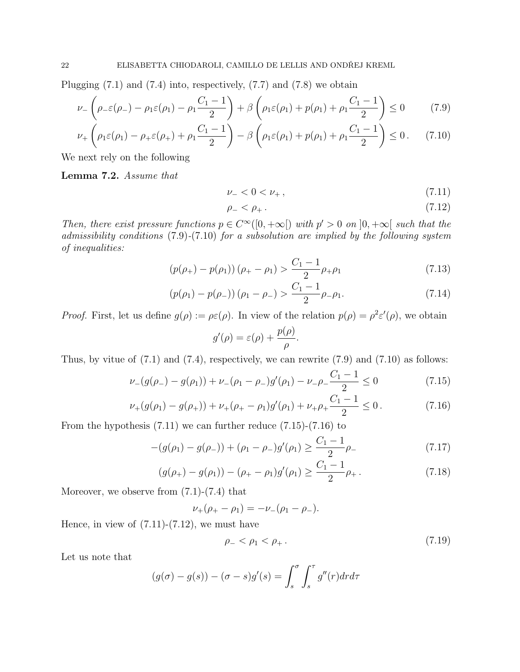Plugging  $(7.1)$  and  $(7.4)$  into, respectively,  $(7.7)$  and  $(7.8)$  we obtain

$$
\nu_{-}\left(\rho_{-}\varepsilon(\rho_{-})-\rho_{1}\varepsilon(\rho_{1})-\rho_{1}\frac{C_{1}-1}{2}\right)+\beta\left(\rho_{1}\varepsilon(\rho_{1})+p(\rho_{1})+\rho_{1}\frac{C_{1}-1}{2}\right)\leq 0\tag{7.9}
$$

$$
\nu_+\left(\rho_1\varepsilon(\rho_1)-\rho_+\varepsilon(\rho_+) + \rho_1\frac{C_1-1}{2}\right) - \beta\left(\rho_1\varepsilon(\rho_1)+p(\rho_1)+\rho_1\frac{C_1-1}{2}\right) \le 0. \tag{7.10}
$$

We next rely on the following

Lemma 7.2. Assume that

$$
\nu_- < 0 < \nu_+ \,,\tag{7.11}
$$

$$
\rho_- < \rho_+ \,. \tag{7.12}
$$

Then, there exist pressure functions  $p \in C^{\infty}([0,+\infty])$  with  $p' > 0$  on  $]0,+\infty[$  such that the admissibility conditions (7.9)-(7.10) for a subsolution are implied by the following system of inequalities:

$$
(p(\rho_+) - p(\rho_1))(\rho_+ - \rho_1) > \frac{C_1 - 1}{2}\rho_+\rho_1
$$
\n(7.13)

$$
(p(\rho_1) - p(\rho_-)) (\rho_1 - \rho_-) > \frac{C_1 - 1}{2} \rho_- \rho_1.
$$
\n(7.14)

*Proof.* First, let us define  $g(\rho) := \rho \varepsilon(\rho)$ . In view of the relation  $p(\rho) = \rho^2 \varepsilon'(\rho)$ , we obtain

$$
g'(\rho) = \varepsilon(\rho) + \frac{p(\rho)}{\rho}.
$$

Thus, by vitue of  $(7.1)$  and  $(7.4)$ , respectively, we can rewrite  $(7.9)$  and  $(7.10)$  as follows:

$$
\nu_{-}(g(\rho_{-}) - g(\rho_{1})) + \nu_{-}(\rho_{1} - \rho_{-})g'(\rho_{1}) - \nu_{-}\rho_{-}\frac{C_{1} - 1}{2} \le 0 \tag{7.15}
$$

$$
\nu_{+}(g(\rho_{1}) - g(\rho_{+})) + \nu_{+}(\rho_{+} - \rho_{1})g'(\rho_{1}) + \nu_{+}\rho_{+}\frac{C_{1} - 1}{2} \le 0.
$$
 (7.16)

From the hypothesis (7.11) we can further reduce (7.15)-(7.16) to

$$
-(g(\rho_1) - g(\rho_-)) + (\rho_1 - \rho_-)g'(\rho_1) \ge \frac{C_1 - 1}{2}\rho_- \tag{7.17}
$$

$$
(g(\rho_+) - g(\rho_1)) - (\rho_+ - \rho_1)g'(\rho_1) \ge \frac{C_1 - 1}{2}\rho_+ \,. \tag{7.18}
$$

Moreover, we observe from  $(7.1)-(7.4)$  that

$$
\nu_{+}(\rho_{+}-\rho_{1})=-\nu_{-}(\rho_{1}-\rho_{-}).
$$

Hence, in view of  $(7.11)-(7.12)$ , we must have

$$
\rho_- < \rho_1 < \rho_+ \,. \tag{7.19}
$$

Let us note that

$$
(g(\sigma) - g(s)) - (\sigma - s)g'(s) = \int_s^{\sigma} \int_s^{\tau} g''(r) dr d\tau
$$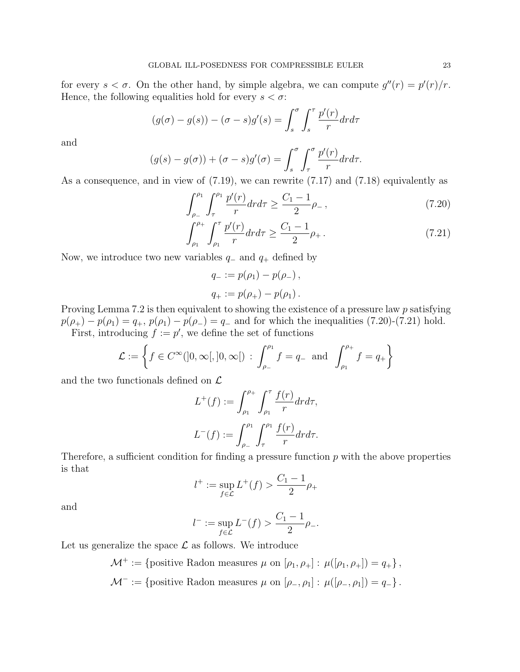for every  $s < \sigma$ . On the other hand, by simple algebra, we can compute  $g''(r) = p'(r)/r$ . Hence, the following equalities hold for every  $s < \sigma$ :

$$
(g(\sigma) - g(s)) - (\sigma - s)g'(s) = \int_s^\sigma \int_s^\tau \frac{p'(r)}{r} dr dr
$$

and

$$
(g(s) - g(\sigma)) + (\sigma - s)g'(\sigma) = \int_s^{\sigma} \int_{\tau}^{\sigma} \frac{p'(r)}{r} dr dr.
$$

As a consequence, and in view of (7.19), we can rewrite (7.17) and (7.18) equivalently as

$$
\int_{\rho_{-}}^{\rho_{1}} \int_{\tau}^{\rho_{1}} \frac{p'(r)}{r} dr dr \ge \frac{C_{1} - 1}{2} \rho_{-} ,\qquad(7.20)
$$

$$
\int_{\rho_1}^{\rho_+} \int_{\rho_1}^{\tau} \frac{p'(r)}{r} dr dr \ge \frac{C_1 - 1}{2} \rho_+ \,. \tag{7.21}
$$

Now, we introduce two new variables  $q_-\$  and  $q_+\$  defined by

$$
q_{-} := p(\rho_{1}) - p(\rho_{-}),
$$
  

$$
q_{+} := p(\rho_{+}) - p(\rho_{1}).
$$

Proving Lemma 7.2 is then equivalent to showing the existence of a pressure law p satisfying  $p(\rho_+) - p(\rho_1) = q_+$ ,  $p(\rho_1) - p(\rho_-) = q_-$  and for which the inequalities (7.20)-(7.21) hold. First, introducing  $f := p'$ , we define the set of functions

$$
\mathcal{L} := \left\{ f \in C^{\infty}(]0, \infty[, ]0, \infty[ \right) : \int_{\rho_{-}}^{\rho_{1}} f = q_{-} \text{ and } \int_{\rho_{1}}^{\rho_{+}} f = q_{+} \right\}
$$

and the two functionals defined on  $\mathcal L$ 

$$
L^+(f) := \int_{\rho_1}^{\rho_+} \int_{\rho_1}^{\tau} \frac{f(r)}{r} dr d\tau,
$$
  

$$
L^-(f) := \int_{\rho_-}^{\rho_1} \int_{\tau}^{\rho_1} \frac{f(r)}{r} dr d\tau.
$$

Therefore, a sufficient condition for finding a pressure function  $p$  with the above properties is that

$$
l^+ := \sup_{f \in \mathcal{L}} L^+(f) > \frac{C_1 - 1}{2} \rho_+
$$

and

$$
l^- := \sup_{f \in \mathcal{L}} L^-(f) > \frac{C_1 - 1}{2} \rho_-.
$$

Let us generalize the space  $\mathcal L$  as follows. We introduce

$$
\mathcal{M}^+ := \{ \text{positive Radon measures } \mu \text{ on } [\rho_1, \rho_+] : \mu([\rho_1, \rho_+]) = q_+ \},
$$
  

$$
\mathcal{M}^- := \{ \text{positive Radon measures } \mu \text{ on } [\rho_-, \rho_1] : \mu([\rho_-, \rho_1]) = q_- \}.
$$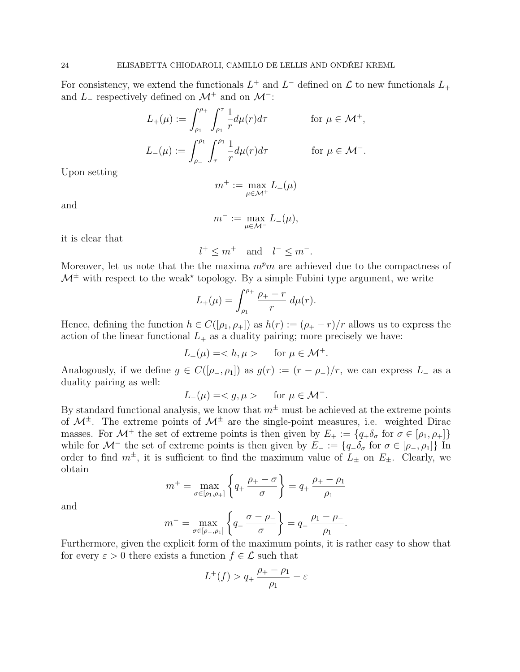For consistency, we extend the functionals  $L^+$  and  $L^-$  defined on  $\mathcal L$  to new functionals  $L_+$ and  $L_-\$  respectively defined on  $\mathcal{M}^+$  and on  $\mathcal{M}^-$ :

$$
L_{+}(\mu) := \int_{\rho_1}^{\rho_+} \int_{\rho_1}^{\tau} \frac{1}{r} d\mu(r) d\tau \qquad \text{for } \mu \in \mathcal{M}^+,
$$
  

$$
L_{-}(\mu) := \int_{\rho_-}^{\rho_1} \int_{\tau}^{\rho_1} \frac{1}{r} d\mu(r) d\tau \qquad \text{for } \mu \in \mathcal{M}^-.
$$

Upon setting

$$
m^+ := \max_{\mu \in \mathcal{M}^+} L_+(\mu)
$$

and

$$
m^- := \max_{\mu \in \mathcal{M}^-} L_-(\mu),
$$

it is clear that

$$
l^+ \le m^+ \quad \text{and} \quad l^- \le m^-.
$$

Moreover, let us note that the the maxima  $m^p m$  are achieved due to the compactness of  $\mathcal{M}^{\pm}$  with respect to the weak<sup>\*</sup> topology. By a simple Fubini type argument, we write

$$
L_{+}(\mu) = \int_{\rho_1}^{\rho_+} \frac{\rho_+ - r}{r} \, d\mu(r).
$$

Hence, defining the function  $h \in C([p_1, p_+])$  as  $h(r) := (p_+ - r)/r$  allows us to express the action of the linear functional  $L_{+}$  as a duality pairing; more precisely we have:

$$
L_{+}(\mu) =  \quad \text{for } \mu \in \mathcal{M}^{+}.
$$

Analogously, if we define  $g \in C([\rho_-, \rho_1])$  as  $g(r) := (r - \rho_-)/r$ , we can express  $L_-$  as a duality pairing as well:

$$
L_{-}(\mu) = \langle g, \mu \rangle \quad \text{for } \mu \in \mathcal{M}^{-}.
$$

By standard functional analysis, we know that  $m^{\pm}$  must be achieved at the extreme points of  $\mathcal{M}^{\pm}$ . The extreme points of  $\mathcal{M}^{\pm}$  are the single-point measures, i.e. weighted Dirac masses. For  $\mathcal{M}^+$  the set of extreme points is then given by  $E_+ := \{q_+\delta_\sigma \text{ for } \sigma \in [\rho_1, \rho_+] \}$ while for  $\mathcal{M}^-$  the set of extreme points is then given by  $E_- := \{q_-\delta_\sigma \text{ for } \sigma \in [\rho_-, \rho_1]\}\$ In order to find  $m^{\pm}$ , it is sufficient to find the maximum value of  $L_{\pm}$  on  $E_{\pm}$ . Clearly, we obtain

$$
m^{+} = \max_{\sigma \in [\rho_1, \rho_+]}\left\{q_{+} \frac{\rho_{+} - \sigma}{\sigma}\right\} = q_{+} \frac{\rho_{+} - \rho_1}{\rho_1}
$$

and

$$
m^{-} = \max_{\sigma \in [\rho_-, \rho_1]} \left\{ q_- \frac{\sigma - \rho_-}{\sigma} \right\} = q_- \frac{\rho_1 - \rho_-}{\rho_1}.
$$

Furthermore, given the explicit form of the maximum points, it is rather easy to show that for every  $\varepsilon > 0$  there exists a function  $f \in \mathcal{L}$  such that

$$
L^+(f) > q_+ \frac{\rho_+ - \rho_1}{\rho_1} - \varepsilon
$$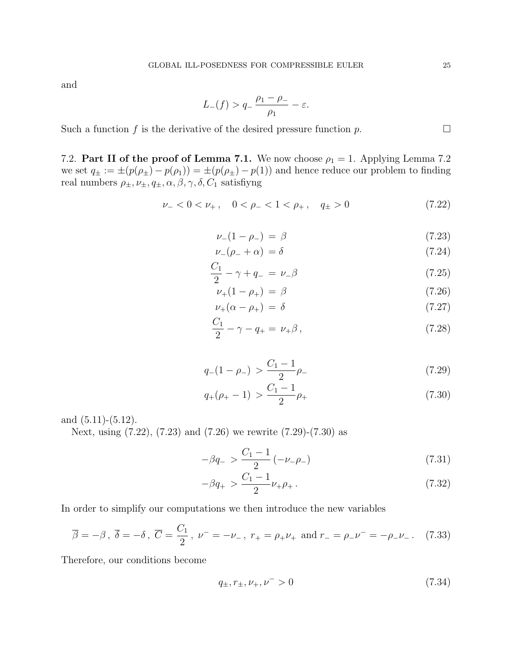and

$$
L_{-}(f) > q_{-} \frac{\rho_1 - \rho_{-}}{\rho_1} - \varepsilon.
$$

Such a function f is the derivative of the desired pressure function p.  $\Box$ 

7.2. Part II of the proof of Lemma 7.1. We now choose  $\rho_1 = 1$ . Applying Lemma 7.2 we set  $q_{\pm} := \pm (p(\rho_{\pm}) - p(\rho_1)) = \pm (p(\rho_{\pm}) - p(1))$  and hence reduce our problem to finding real numbers  $\rho_{\pm}, \nu_{\pm}, q_{\pm}, \alpha, \beta, \gamma, \delta, C_1$  satisfiyng

$$
\nu_- < 0 < \nu_+, \quad 0 < \rho_- < 1 < \rho_+, \quad q_\pm > 0 \tag{7.22}
$$

$$
\nu_{-}(1 - \rho_{-}) = \beta \tag{7.23}
$$

$$
\nu_{-}(\rho_{-}+\alpha) = \delta \tag{7.24}
$$

$$
\frac{C_1}{2} - \gamma + q_- = \nu_- \beta \tag{7.25}
$$

$$
\nu_{+}(1-\rho_{+}) = \beta \tag{7.26}
$$

$$
\nu_{+}(\alpha - \rho_{+}) = \delta \tag{7.27}
$$

$$
\frac{C_1}{2} - \gamma - q_+ = \nu_+ \beta \,,\tag{7.28}
$$

$$
q_{-}(1 - \rho_{-}) > \frac{C_1 - 1}{2}\rho_{-} \tag{7.29}
$$

$$
q_{+}(\rho_{+}-1) > \frac{C_1 - 1}{2}\rho_{+} \tag{7.30}
$$

and  $(5.11)-(5.12)$ .

Next, using (7.22), (7.23) and (7.26) we rewrite (7.29)-(7.30) as

$$
-\beta q_{-} > \frac{C_1 - 1}{2} \left( -\nu_{-}\rho_{-} \right) \tag{7.31}
$$

$$
-\beta q_+ > \frac{C_1 - 1}{2} \nu_+ \rho_+ \,. \tag{7.32}
$$

In order to simplify our computations we then introduce the new variables

$$
\overline{\beta} = -\beta \,, \ \overline{\delta} = -\delta \,, \ \overline{C} = \frac{C_1}{2} \,, \ \nu^- = -\nu_- \,, \ r_+ = \rho_+ \nu_+ \text{ and } r_- = \rho_- \nu^- = -\rho_- \nu_- \,. \tag{7.33}
$$

Therefore, our conditions become

$$
q_{\pm}, r_{\pm}, \nu_{+}, \nu^{-} > 0 \tag{7.34}
$$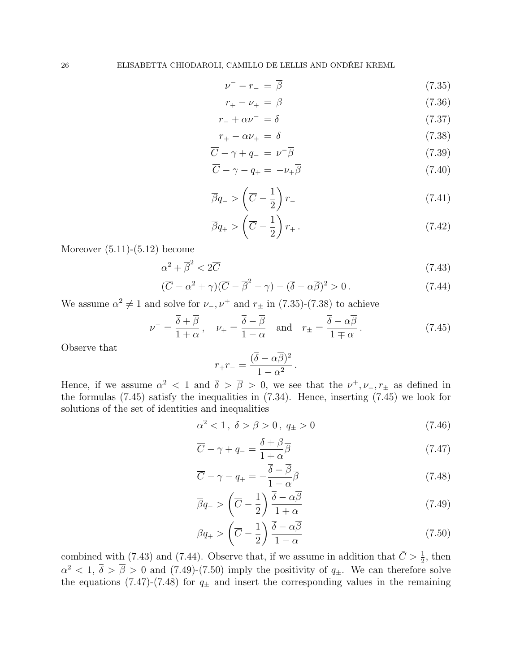$$
\nu^- - r_- = \overline{\beta} \tag{7.35}
$$

$$
r_{+} - \nu_{+} = \overline{\beta} \tag{7.36}
$$

$$
r_- + \alpha \nu^- = \overline{\delta} \tag{7.37}
$$

$$
r_{+} - \alpha \nu_{+} = \overline{\delta} \tag{7.38}
$$

$$
\overline{C} - \gamma + q_- = \nu^- \overline{\beta} \tag{7.39}
$$

$$
\overline{C} - \gamma - q_+ = -\nu_+ \overline{\beta} \tag{7.40}
$$

$$
\overline{\beta}q_{-} > \left(\overline{C} - \frac{1}{2}\right)r_{-} \tag{7.41}
$$

$$
\overline{\beta}q_+ > \left(\overline{C} - \frac{1}{2}\right)r_+ \,. \tag{7.42}
$$

Moreover  $(5.11)-(5.12)$  become

$$
\alpha^2 + \overline{\beta}^2 < 2\overline{C} \tag{7.43}
$$

$$
(\overline{C} - \alpha^2 + \gamma)(\overline{C} - \overline{\beta}^2 - \gamma) - (\overline{\delta} - \alpha \overline{\beta})^2 > 0.
$$
 (7.44)

We assume  $\alpha^2 \neq 1$  and solve for  $\nu_-, \nu^+$  and  $r_{\pm}$  in (7.35)-(7.38) to achieve

$$
\nu^{-} = \frac{\overline{\delta} + \overline{\beta}}{1 + \alpha}, \quad \nu_{+} = \frac{\overline{\delta} - \overline{\beta}}{1 - \alpha} \quad \text{and} \quad r_{\pm} = \frac{\overline{\delta} - \alpha \overline{\beta}}{1 \mp \alpha}. \tag{7.45}
$$

Observe that

$$
r_+r_- = \frac{(\overline{\delta} - \alpha \overline{\beta})^2}{1 - \alpha^2} \, .
$$

Hence, if we assume  $\alpha^2 < 1$  and  $\overline{\delta} > \overline{\beta} > 0$ , we see that the  $\nu^+, \nu_-, r_{\pm}$  as defined in the formulas (7.45) satisfy the inequalities in (7.34). Hence, inserting (7.45) we look for solutions of the set of identities and inequalities

$$
\alpha^2 < 1 \,, \overline{\delta} > \overline{\beta} > 0 \,, \ q_{\pm} > 0 \tag{7.46}
$$

$$
\overline{C} - \gamma + q_- = \frac{\overline{\delta} + \overline{\beta}}{1 + \alpha} \overline{\beta}
$$
\n(7.47)

$$
\overline{C} - \gamma - q_+ = -\frac{\overline{\delta} - \overline{\beta}}{1 - \alpha} \overline{\beta}
$$
\n(7.48)

$$
\overline{\beta}q_{-} > \left(\overline{C} - \frac{1}{2}\right) \frac{\overline{\delta} - \alpha \overline{\beta}}{1 + \alpha} \tag{7.49}
$$

$$
\overline{\beta}q_{+} > \left(\overline{C} - \frac{1}{2}\right) \frac{\overline{\delta} - \alpha \overline{\beta}}{1 - \alpha} \tag{7.50}
$$

combined with (7.43) and (7.44). Observe that, if we assume in addition that  $\bar{C} > \frac{1}{2}$ , then  $\alpha^2$  < 1,  $\overline{\delta}$  >  $\overline{\beta}$  > 0 and (7.49)-(7.50) imply the positivity of  $q_{\pm}$ . We can therefore solve the equations (7.47)-(7.48) for  $q_{\pm}$  and insert the corresponding values in the remaining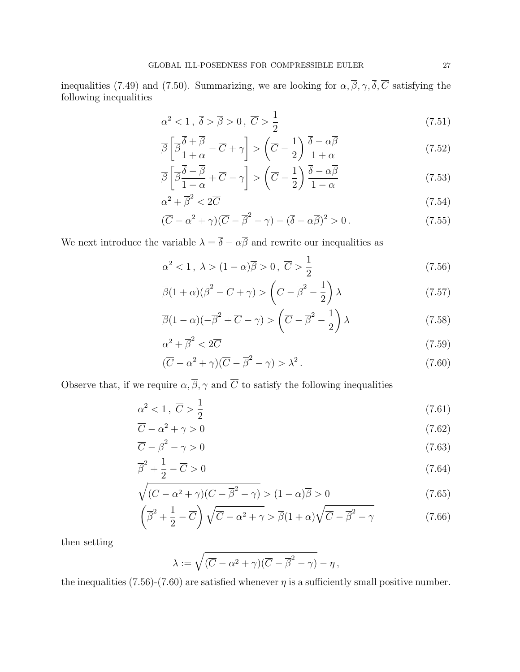inequalities (7.49) and (7.50). Summarizing, we are looking for  $\alpha, \overline{\beta}, \gamma, \overline{\delta}, \overline{C}$  satisfying the following inequalities

$$
\alpha^2 < 1, \ \overline{\delta} > \overline{\beta} > 0, \ \overline{C} > \frac{1}{2} \tag{7.51}
$$

$$
\overline{\beta}\left[\overline{\beta}\frac{\overline{\delta}+\overline{\beta}}{1+\alpha}-\overline{C}+\gamma\right] > \left(\overline{C}-\frac{1}{2}\right)\frac{\overline{\delta}-\alpha\overline{\beta}}{1+\alpha} \tag{7.52}
$$

$$
\overline{\beta}\left[\overline{\beta}\frac{\overline{\delta}-\overline{\beta}}{1-\alpha}+\overline{C}-\gamma\right] > \left(\overline{C}-\frac{1}{2}\right)\frac{\overline{\delta}-\alpha\overline{\beta}}{1-\alpha}
$$
\n(7.53)

$$
\alpha^2 + \overline{\beta}^2 < 2\overline{C} \tag{7.54}
$$

$$
(\overline{C} - \alpha^2 + \gamma)(\overline{C} - \overline{\beta}^2 - \gamma) - (\overline{\delta} - \alpha \overline{\beta})^2 > 0.
$$
 (7.55)

We next introduce the variable  $\lambda = \overline{\delta} - \alpha \overline{\beta}$  and rewrite our inequalities as

$$
\alpha^2 < 1, \ \lambda > (1 - \alpha)\overline{\beta} > 0, \ \overline{C} > \frac{1}{2} \tag{7.56}
$$

$$
\overline{\beta}(1+\alpha)(\overline{\beta}^2-\overline{C}+\gamma) > \left(\overline{C}-\overline{\beta}^2-\frac{1}{2}\right)\lambda
$$
\n(7.57)

$$
\overline{\beta}(1-\alpha)(-\overline{\beta}^2+\overline{C}-\gamma) > \left(\overline{C}-\overline{\beta}^2-\frac{1}{2}\right)\lambda
$$
\n(7.58)

$$
\alpha^2 + \overline{\beta}^2 < 2\overline{C} \tag{7.59}
$$

$$
(\overline{C} - \alpha^2 + \gamma)(\overline{C} - \overline{\beta}^2 - \gamma) > \lambda^2.
$$
\n(7.60)

Observe that, if we require  $\alpha, \overline{\beta}, \gamma$  and  $\overline{C}$  to satisfy the following inequalities

$$
\alpha^2 < 1 \,, \ \overline{C} > \frac{1}{2} \tag{7.61}
$$

$$
\overline{C} - \alpha^2 + \gamma > 0 \tag{7.62}
$$

$$
\overline{C} - \overline{\beta}^2 - \gamma > 0 \tag{7.63}
$$

$$
\overline{\beta}^2 + \frac{1}{2} - \overline{C} > 0 \tag{7.64}
$$

$$
\sqrt{(\overline{C} - \alpha^2 + \gamma)(\overline{C} - \overline{\beta}^2 - \gamma)} > (1 - \alpha)\overline{\beta} > 0
$$
\n(7.65)

$$
\left(\overline{\beta}^2 + \frac{1}{2} - \overline{C}\right)\sqrt{\overline{C} - \alpha^2 + \gamma} > \overline{\beta}(1+\alpha)\sqrt{\overline{C} - \overline{\beta}^2 - \gamma}
$$
\n(7.66)

then setting

$$
\lambda := \sqrt{(\overline{C} - \alpha^2 + \gamma)(\overline{C} - \overline{\beta}^2 - \gamma)} - \eta,
$$

the inequalities (7.56)-(7.60) are satisfied whenever  $\eta$  is a sufficiently small positive number.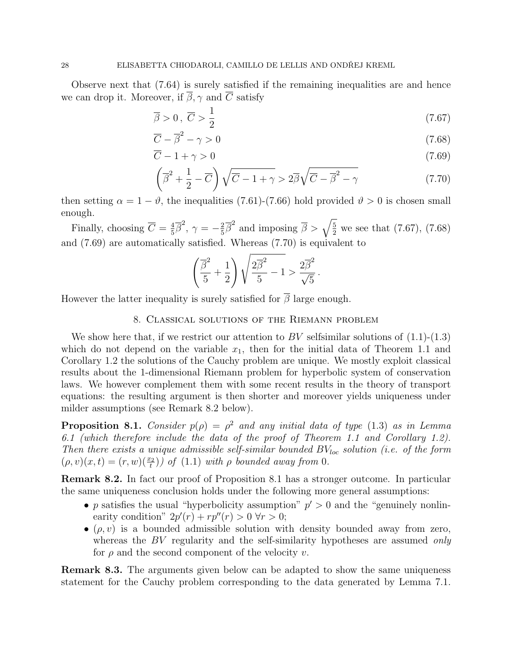Observe next that (7.64) is surely satisfied if the remaining inequalities are and hence we can drop it. Moreover, if  $\overline{\beta}$ ,  $\gamma$  and  $\overline{C}$  satisfy

$$
\overline{\beta} > 0, \ \overline{C} > \frac{1}{2} \tag{7.67}
$$

$$
\overline{C} - \overline{\beta}^2 - \gamma > 0 \tag{7.68}
$$

$$
\overline{C} - 1 + \gamma > 0 \tag{7.69}
$$

$$
\left(\overline{\beta}^2 + \frac{1}{2} - \overline{C}\right)\sqrt{\overline{C} - 1 + \gamma} > 2\overline{\beta}\sqrt{\overline{C} - \overline{\beta}^2 - \gamma}
$$
\n(7.70)

then setting  $\alpha = 1 - \vartheta$ , the inequalities (7.61)-(7.66) hold provided  $\vartheta > 0$  is chosen small enough.

Finally, choosing  $\overline{C} = \frac{4}{5}$  $\frac{4}{5}\overline{\beta}^2$ ,  $\gamma = -\frac{2}{5}$  $\frac{2}{5}\overline{\beta}^2$  and imposing  $\overline{\beta} > \sqrt{\frac{5}{2}}$  we see that (7.67), (7.68) and (7.69) are automatically satisfied. Whereas (7.70) is equivalent to

$$
\left(\frac{\overline{\beta}^2}{5} + \frac{1}{2}\right)\sqrt{\frac{2\overline{\beta}^2}{5} - 1} > \frac{2\overline{\beta}^2}{\sqrt{5}}.
$$

However the latter inequality is surely satisfied for  $\overline{\beta}$  large enough.

## 8. Classical solutions of the Riemann problem

We show here that, if we restrict our attention to BV selfsimilar solutions of  $(1.1)-(1.3)$ which do not depend on the variable  $x_1$ , then for the initial data of Theorem 1.1 and Corollary 1.2 the solutions of the Cauchy problem are unique. We mostly exploit classical results about the 1-dimensional Riemann problem for hyperbolic system of conservation laws. We however complement them with some recent results in the theory of transport equations: the resulting argument is then shorter and moreover yields uniqueness under milder assumptions (see Remark 8.2 below).

**Proposition 8.1.** Consider  $p(\rho) = \rho^2$  and any initial data of type (1.3) as in Lemma 6.1 (which therefore include the data of the proof of Theorem 1.1 and Corollary 1.2). Then there exists a unique admissible self-similar bounded  $BV_{loc}$  solution (i.e. of the form  $(\rho, v)(x, t) = (r, w)(\frac{x_2}{t})$  of  $(1.1)$  with  $\rho$  bounded away from 0.

Remark 8.2. In fact our proof of Proposition 8.1 has a stronger outcome. In particular the same uniqueness conclusion holds under the following more general assumptions:

- p satisfies the usual "hyperbolicity assumption"  $p' > 0$  and the "genuinely nonlinearity condition"  $2p'(r) + rp''(r) > 0 \forall r > 0;$
- $\bullet$  ( $\rho, v$ ) is a bounded admissible solution with density bounded away from zero, whereas the  $BV$  regularity and the self-similarity hypotheses are assumed only for  $\rho$  and the second component of the velocity v.

Remark 8.3. The arguments given below can be adapted to show the same uniqueness statement for the Cauchy problem corresponding to the data generated by Lemma 7.1.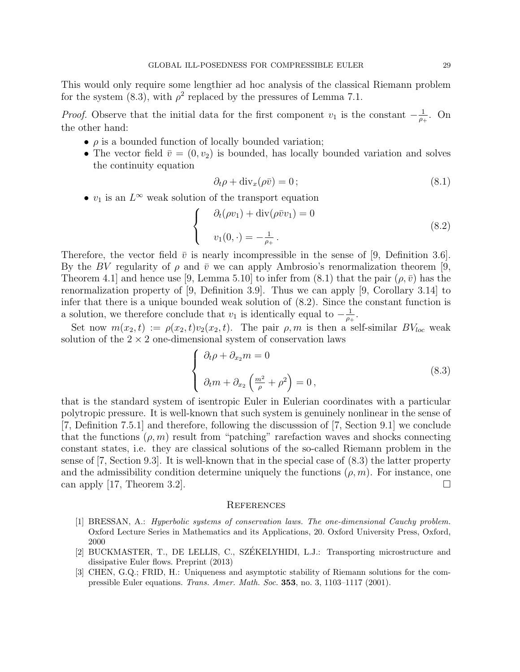This would only require some lengthier ad hoc analysis of the classical Riemann problem for the system (8.3), with  $\rho^2$  replaced by the pressures of Lemma 7.1.

*Proof.* Observe that the initial data for the first component  $v_1$  is the constant  $-\frac{1}{v_1}$  $\frac{1}{\rho_+}$ . On the other hand:

- $\bullet$   $\rho$  is a bounded function of locally bounded variation;
- The vector field  $\bar{v} = (0, v_2)$  is bounded, has locally bounded variation and solves the continuity equation

$$
\partial_t \rho + \text{div}_x(\rho \bar{v}) = 0 \tag{8.1}
$$

•  $v_1$  is an  $L^\infty$  weak solution of the transport equation

$$
\begin{cases}\n\partial_t(\rho v_1) + \operatorname{div}(\rho \bar{v} v_1) = 0 \\
v_1(0, \cdot) = -\frac{1}{\rho_+}.\n\end{cases}
$$
\n(8.2)

Therefore, the vector field  $\bar{v}$  is nearly incompressible in the sense of [9, Definition 3.6]. By the BV regularity of  $\rho$  and  $\bar{v}$  we can apply Ambrosio's renormalization theorem [9, Theorem 4.1 and hence use [9, Lemma 5.10] to infer from (8.1) that the pair  $(\rho, \bar{v})$  has the renormalization property of [9, Definition 3.9]. Thus we can apply [9, Corollary 3.14] to infer that there is a unique bounded weak solution of (8.2). Since the constant function is a solution, we therefore conclude that  $v_1$  is identically equal to  $-\frac{1}{v_1}$  $\frac{1}{\rho_+}.$ 

Set now  $m(x_2, t) := \rho(x_2, t)v_2(x_2, t)$ . The pair  $\rho, m$  is then a self-similar  $BV_{loc}$  weak solution of the  $2 \times 2$  one-dimensional system of conservation laws

$$
\begin{cases}\n\partial_t \rho + \partial_{x_2} m = 0 \\
\partial_t m + \partial_{x_2} \left(\frac{m^2}{\rho} + \rho^2\right) = 0,\n\end{cases}
$$
\n(8.3)

that is the standard system of isentropic Euler in Eulerian coordinates with a particular polytropic pressure. It is well-known that such system is genuinely nonlinear in the sense of [7, Definition 7.5.1] and therefore, following the discusssion of [7, Section 9.1] we conclude that the functions  $(\rho, m)$  result from "patching" rarefaction waves and shocks connecting constant states, i.e. they are classical solutions of the so-called Riemann problem in the sense of [7, Section 9.3]. It is well-known that in the special case of (8.3) the latter property and the admissibility condition determine uniquely the functions  $(\rho, m)$ . For instance, one can apply [17, Theorem 3.2].

#### **REFERENCES**

- [1] BRESSAN, A.: Hyperbolic systems of conservation laws. The one-dimensional Cauchy problem. Oxford Lecture Series in Mathematics and its Applications, 20. Oxford University Press, Oxford, 2000
- [2] BUCKMASTER, T., DE LELLIS, C., SZEKELYHIDI, L.J.: Transporting microstructure and ´ dissipative Euler flows. Preprint (2013)
- [3] CHEN, G.Q.; FRID, H.: Uniqueness and asymptotic stability of Riemann solutions for the compressible Euler equations. Trans. Amer. Math. Soc. 353, no. 3, 1103-1117 (2001).